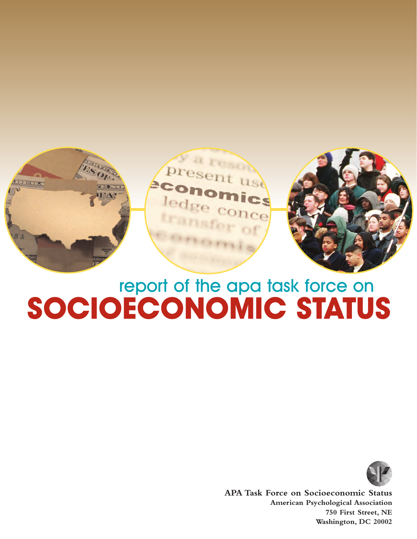

# **SOCIOECONOMIC STATUS** report of the apa task force on



**APA Task Force on Socioeconomic Status American Psychological Association 750 First Street, NE Washington, DC 20002**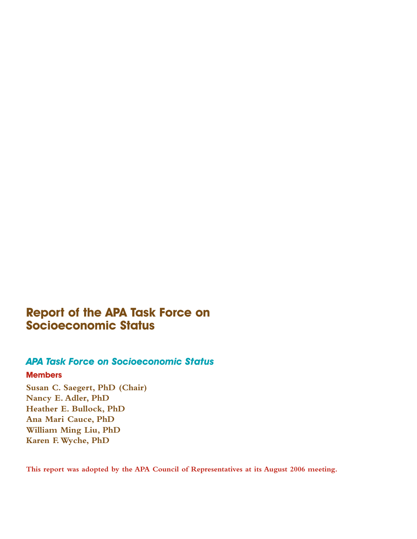# **Report of the APA Task Force on Socioeconomic Status**

# *APA Task Force on Socioeconomic Status*

### **Members**

**Susan C. Saegert, PhD (Chair) Nancy E. Adler, PhD Heather E. Bullock, PhD Ana Mari Cauce, PhD William Ming Liu, PhD Karen F.Wyche, PhD**

**This report was adopted by the APA Council of Representatives at its August 2006 meeting.**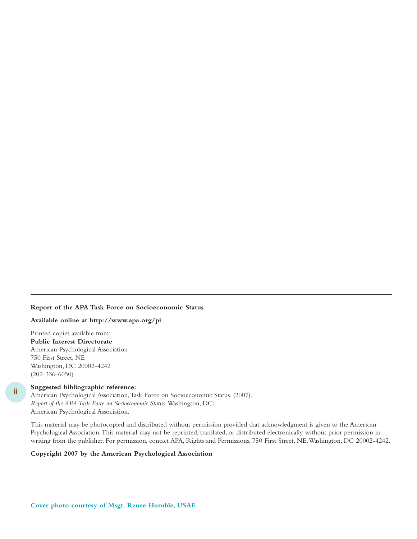#### **Report of the APA Task Force on Socioeconomic Status**

**Available online at http://www.apa.org/pi**

Printed copies available from: **Public Interest Directorate** American Psychological Association 750 First Street, NE Washington, DC 20002-4242 (202-336-6050)

#### **Suggested bibliographic reference:**

**ii**

American Psychological Association,Task Force on Socioeconomic Status. (2007). *Report of the APA Task Force on Socioeconomic Status.* Washington, DC: American Psychological Association.

This material may be photocopied and distributed without permission provided that acknowledgment is given to the American Psychological Association.This material may not be reprinted, translated, or distributed electronically without prior permission in writing from the publisher. For permission, contact APA, Rights and Permissions, 750 First Street, NE,Washington, DC 20002-4242.

#### **Copyright 2007 by the American Psychological Association**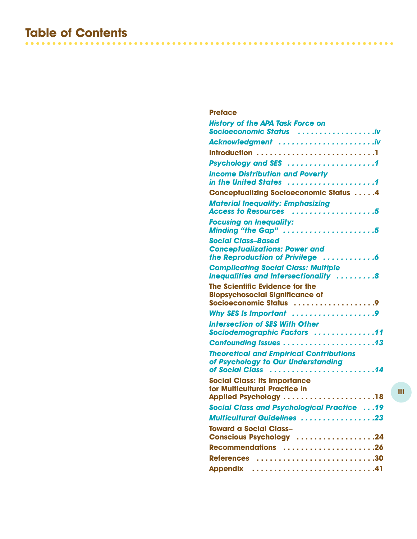# **Table of Contents**

| <b>Preface</b>                                                                                       |
|------------------------------------------------------------------------------------------------------|
| <b>History of the APA Task Force on</b><br>Socioeconomic Status iv                                   |
| Acknowledgment                                                                                       |
|                                                                                                      |
| Psychology and SES 1                                                                                 |
| <b>Income Distribution and Poverty</b><br>in the United States 1                                     |
| <b>Conceptualizing Socioeconomic Status 4</b>                                                        |
| <b>Material Inequality: Emphasizing</b><br>Access to Resources 5                                     |
| <b>Focusing on Inequality:</b><br>Minding "the Gap" 5                                                |
| <b>Social Class-Based</b><br><b>Conceptualizations: Power and</b><br>the Reproduction of Privilege 6 |
| <b>Complicating Social Class: Multiple</b><br>Inequalities and Intersectionality 8                   |
| The Scientific Evidence for the<br><b>Biopsychosocial Significance of</b><br>Socioeconomic Status 9  |
| Why SES Is Important 9                                                                               |
| <b>Intersection of SES With Other</b><br>Sociodemographic Factors 11                                 |
|                                                                                                      |
| <b>Theoretical and Empirical Contributions</b><br>of Psychology to Our Understanding                 |
| <b>Social Class: Its Importance</b><br>for Multicultural Practice in<br>Applied Psychology 18        |
| <b>Social Class and Psychological Practice 19</b>                                                    |
| <b>Multicultural Guidelines 23</b>                                                                   |
| <b>Toward a Social Class-</b><br>Conscious Psychology 24                                             |
| Recommendations 26                                                                                   |
| References 30                                                                                        |
| Appendix 41                                                                                          |
|                                                                                                      |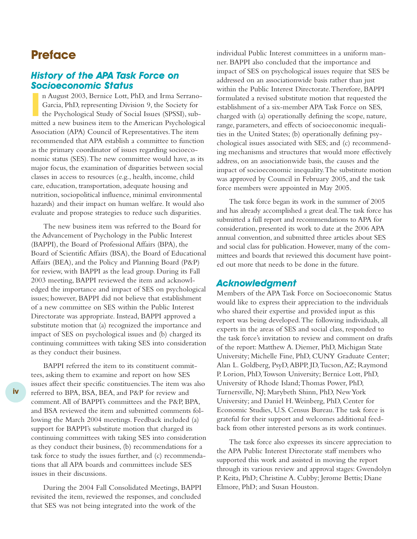# **Preface**

### *History of the APA Task Force on Socioeconomic Status*

n August 2003, Bernice Lott, PhD, and Irma Serrano-Garcia, PhD, representing Division 9, the Society for the Psychological Study of Social Issues (SPSSI), sub-mitted a new business item to the American Psychological n August 2003, Bernice Lott, PhD, and Irma Serrano-Garcia, PhD, representing Division 9, the Society for the Psychological Study of Social Issues (SPSSI), sub-Association (APA) Council of Representatives.The item recommended that APA establish a committee to function as the primary coordinator of issues regarding socioeconomic status (SES).The new committee would have, as its major focus, the examination of disparities between social classes in access to resources (e.g., health, income, child care, education, transportation, adequate housing and nutrition, sociopolitical influence, minimal environmental hazards) and their impact on human welfare. It would also evaluate and propose strategies to reduce such disparities.

The new business item was referred to the Board for the Advancement of Psychology in the Public Interest (BAPPI), the Board of Professional Affairs (BPA), the Board of Scientific Affairs (BSA), the Board of Educational Affairs (BEA), and the Policy and Planning Board (P&P) for review, with BAPPI as the lead group. During its Fall 2003 meeting, BAPPI reviewed the item and acknowledged the importance and impact of SES on psychological issues; however, BAPPI did not believe that establishment of a new committee on SES within the Public Interest Directorate was appropriate. Instead, BAPPI approved a substitute motion that (a) recognized the importance and impact of SES on psychological issues and (b) charged its continuing committees with taking SES into consideration as they conduct their business.

BAPPI referred the item to its constituent committees, asking them to examine and report on how SES issues affect their specific constituencies.The item was also referred to BPA, BSA, BEA, and P&P for review and comment.All of BAPPI's committees and the P&P, BPA, and BSA reviewed the item and submitted comments following the March 2004 meetings. Feedback included (a) support for BAPPI's substitute motion that charged its continuing committees with taking SES into consideration as they conduct their business, (b) recommendations for a task force to study the issues further, and (c) recommendations that all APA boards and committees include SES issues in their discussions.

During the 2004 Fall Consolidated Meetings, BAPPI revisited the item, reviewed the responses, and concluded that SES was not being integrated into the work of the

individual Public Interest committees in a uniform manner. BAPPI also concluded that the importance and impact of SES on psychological issues require that SES be addressed on an associationwide basis rather than just within the Public Interest Directorate.Therefore, BAPPI formulated a revised substitute motion that requested the establishment of a six-member APA Task Force on SES, charged with (a) operationally defining the scope, nature, range, parameters, and effects of socioeconomic inequalities in the United States; (b) operationally defining psychological issues associated with SES; and (c) recommending mechanisms and structures that would more effectively address, on an associationwide basis, the causes and the impact of socioeconomic inequality.The substitute motion was approved by Council in February 2005, and the task force members were appointed in May 2005.

The task force began its work in the summer of 2005 and has already accomplished a great deal.The task force has submitted a full report and recommendations to APA for consideration, presented its work to date at the 2006 APA annual convention, and submitted three articles about SES and social class for publication. However, many of the committees and boards that reviewed this document have pointed out more that needs to be done in the future.

#### *Acknowledgment*

Members of the APA Task Force on Socioeconomic Status would like to express their appreciation to the individuals who shared their expertise and provided input as this report was being developed.The following individuals, all experts in the areas of SES and social class, responded to the task force's invitation to review and comment on drafts of the report: Matthew A. Diemer, PhD, Michigan State University; Michelle Fine, PhD, CUNY Graduate Center; Alan L. Goldberg, PsyD,ABPP, JD,Tucson,AZ; Raymond P. Lorion, PhD,Towson University; Bernice Lott, PhD, University of Rhode Island;Thomas Power, PhD, Turnersville, NJ; Marybeth Shinn, PhD, New York University; and Daniel H.Weinberg, PhD, Center for Economic Studies, U.S. Census Bureau.The task force is grateful for their support and welcomes additional feedback from other interested persons as its work continues.

The task force also expresses its sincere appreciation to the APA Public Interest Directorate staff members who supported this work and assisted in moving the report through its various review and approval stages: Gwendolyn P. Keita, PhD; Christine A. Cubby; Jerome Bettis; Diane Elmore, PhD; and Susan Houston.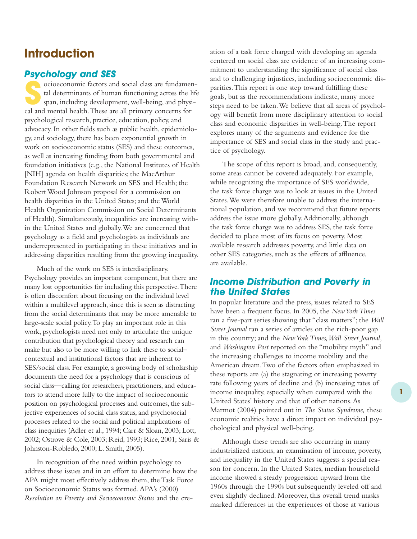# **Introduction**

### *Psychology and SES*

Socioeconomic factors and social class are fundamen-<br>
tal determinants of human functioning across the life<br>
span, including development, well-being, and physi-<br>
and monthlabels. There are all minimum acrossesses tal determinants of human functioning across the life cal and mental health.These are all primary concerns for psychological research, practice, education, policy, and advocacy. In other fields such as public health, epidemiology, and sociology, there has been exponential growth in work on socioeconomic status (SES) and these outcomes, as well as increasing funding from both governmental and foundation initiatives (e.g., the National Institutes of Health [NIH] agenda on health disparities; the MacArthur Foundation Research Network on SES and Health; the Robert Wood Johnson proposal for a commission on health disparities in the United States; and the World Health Organization Commission on Social Determinants of Health). Simultaneously, inequalities are increasing within the United States and globally.We are concerned that psychology as a field and psychologists as individuals are underrepresented in participating in these initiatives and in addressing disparities resulting from the growing inequality.

Much of the work on SES is interdisciplinary. Psychology provides an important component, but there are many lost opportunities for including this perspective.There is often discomfort about focusing on the individual level within a multilevel approach, since this is seen as distracting from the social determinants that may be more amenable to large-scale social policy.To play an important role in this work, psychologists need not only to articulate the unique contribution that psychological theory and research can make but also to be more willing to link these to social– contextual and institutional factors that are inherent to SES/social class. For example, a growing body of scholarship documents the need for a psychology that is conscious of social class—calling for researchers, practitioners, and educators to attend more fully to the impact of socioeconomic position on psychological processes and outcomes, the subjective experiences of social class status, and psychosocial processes related to the social and political implications of class inequities (Adler et al., 1994; Carr & Sloan, 2003; Lott, 2002; Ostrove & Cole, 2003; Reid, 1993; Rice, 2001; Saris & Johnston-Robledo, 2000; L. Smith, 2005).

In recognition of the need within psychology to address these issues and in an effort to determine how the APA might most effectively address them, the Task Force on Socioeconomic Status was formed.APA's (2000) *Resolution on Poverty and Socioeconomic Status* and the creation of a task force charged with developing an agenda centered on social class are evidence of an increasing commitment to understanding the significance of social class and to challenging injustices, including socioeconomic disparities.This report is one step toward fulfilling these goals, but as the recommendations indicate, many more steps need to be taken.We believe that all areas of psychology will benefit from more disciplinary attention to social class and economic disparities in well-being.The report explores many of the arguments and evidence for the importance of SES and social class in the study and practice of psychology.

The scope of this report is broad, and, consequently, some areas cannot be covered adequately. For example, while recognizing the importance of SES worldwide, the task force charge was to look at issues in the United States.We were therefore unable to address the international population, and we recommend that future reports address the issue more globally.Additionally, although the task force charge was to address SES, the task force decided to place most of its focus on poverty. Most available research addresses poverty, and little data on other SES categories, such as the effects of affluence, are available.

# *Income Distribution and Poverty in the United States*

In popular literature and the press, issues related to SES have been a frequent focus. In 2005, the *New York Times* ran a five-part series showing that "class matters"; the *Wall Street Journal* ran a series of articles on the rich-poor gap in this country; and the *New York Times,Wall Street Journal,* and *Washington Post* reported on the "mobility myth" and the increasing challenges to income mobility and the American dream.Two of the factors often emphasized in these reports are (a) the stagnating or increasing poverty rate following years of decline and (b) increasing rates of income inequality, especially when compared with the United States' history and that of other nations.As Marmot (2004) pointed out in *The Status Syndrome,* these economic realities have a direct impact on individual psychological and physical well-being.

Although these trends are also occurring in many industrialized nations, an examination of income, poverty, and inequality in the United States suggests a special reason for concern. In the United States, median household income showed a steady progression upward from the 1960s through the 1990s but subsequently leveled off and even slightly declined. Moreover, this overall trend masks marked differences in the experiences of those at various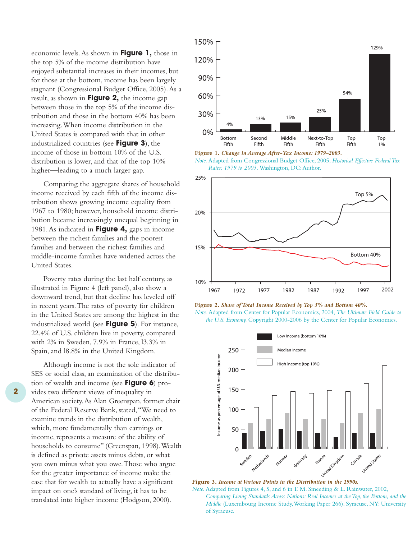economic levels.As shown in **Figure 1,** those in the top 5% of the income distribution have enjoyed substantial increases in their incomes, but for those at the bottom, income has been largely stagnant (Congressional Budget Office, 2005).As a result, as shown in **Figure 2,** the income gap between those in the top 5% of the income distribution and those in the bottom 40% has been increasing.When income distribution in the United States is compared with that in other industrialized countries (see **Figure 3**), the income of those in bottom 10% of the U.S. distribution is lower, and that of the top 10% higher—leading to a much larger gap.

Comparing the aggregate shares of household income received by each fifth of the income distribution shows growing income equality from 1967 to 1980; however, household income distribution became increasingly unequal beginning in 1981.As indicated in **Figure 4,** gaps in income between the richest families and the poorest families and between the richest families and middle-income families have widened across the United States.

Poverty rates during the last half century, as illustrated in Figure 4 (left panel), also show a downward trend, but that decline has leveled off in recent years.The rates of poverty for children in the United States are among the highest in the industrialized world (see **Figure 5**). For instance, 22.4% of U.S. children live in poverty, compared with 2% in Sweden, 7.9% in France, l3.3% in Spain, and l8.8% in the United Kingdom.

Although income is not the sole indicator of SES or social class, an examination of the distribution of wealth and income (see **Figure 6**) provides two different views of inequality in American society.As Alan Greenspan, former chair of the Federal Reserve Bank, stated,"We need to examine trends in the distribution of wealth, which, more fundamentally than earnings or income, represents a measure of the ability of households to consume" (Greenspan, 1998). Wealth is defined as private assets minus debts, or what you own minus what you owe.Those who argue for the greater importance of income make the case that for wealth to actually have a significant impact on one's standard of living, it has to be translated into higher income (Hodgson, 2000).







**Figure 2.** *Share of Total Income Received by Top 5% and Bottom 40%. Note.* Adapted from Center for Popular Economics, 2004, *The Ultimate Field Guide to* 

*the U.S. Economy.* Copyright 2000-2006 by the Center for Popular Economics.



*Note.* Adapted from Figures 4, 5, and 6 in T. M. Smeeding & L. Rainwater, 2002, *Comparing Living Standards Across Nations: Real Incomes at the Top, the Bottom, and the Middle* (Luxembourg Income Study,Working Paper 266). Syracuse, NY: University of Syracuse.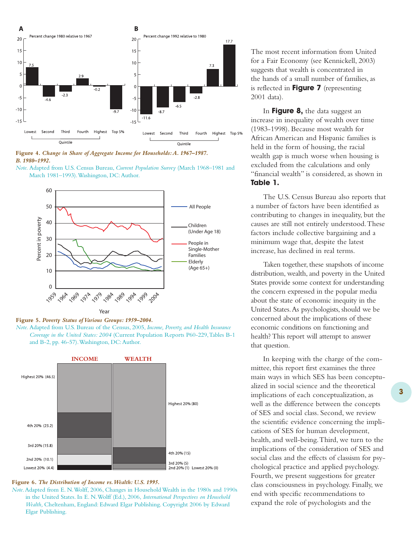

#### **Figure 4.** *Change in Share of Aggregate Income for Households:A. 1967–1987. B. 1980–1992.*

*Note.* Adapted from U.S. Census Bureau, *Current Population Survey* (March 1968–1981 and March 1981–1993).Washington, DC:Author.



#### **Figure 5.** *Poverty Status of Various Groups: 1959–2004.*

*Note.* Adapted from U.S. Bureau of the Census, 2005, *Income, Poverty, and Health Insurance Coverage in the United States: 2004* (Current Population Reports P60-229,Tables B-1 and B-2, pp. 46-57). Washington, DC: Author.



#### **Figure 6.** *The Distribution of Income vs.Wealth: U.S. 1995.*

*Note*.Adapted from E. N.Wolff, 2006, Changes in Household Wealth in the 1980s and 1990s in the United States. In E. N.Wolff (Ed.), 2006, *International Perspectives on Household Wealth,* Cheltenham, England: Edward Elgar Publishing. Copyright 2006 by Edward Elgar Publishing.

The most recent information from United for a Fair Economy (see Kennickell, 2003) suggests that wealth is concentrated in the hands of a small number of families, as is reflected in **Figure 7** (representing 2001 data).

In **Figure 8,** the data suggest an increase in inequality of wealth over time (1983-1998). Because most wealth for African American and Hispanic families is held in the form of housing, the racial wealth gap is much worse when housing is excluded from the calculations and only "financial wealth" is considered, as shown in **Table 1.**

The U.S. Census Bureau also reports that a number of factors have been identified as contributing to changes in inequality, but the causes are still not entirely understood.These factors include collective bargaining and a minimum wage that, despite the latest increase, has declined in real terms.

Taken together, these snapshots of income distribution, wealth, and poverty in the United States provide some context for understanding the concern expressed in the popular media about the state of economic inequity in the United States.As psychologists, should we be concerned about the implications of these economic conditions on functioning and health? This report will attempt to answer that question.

In keeping with the charge of the committee, this report first examines the three main ways in which SES has been conceptualized in social science and the theoretical implications of each conceptualization, as well as the difference between the concepts of SES and social class. Second, we review the scientific evidence concerning the implications of SES for human development, health, and well-being.Third, we turn to the implications of the consideration of SES and social class and the effects of classism for psychological practice and applied psychology. Fourth, we present suggestions for greater class consciousness in psychology. Finally, we end with specific recommendations to expand the role of psychologists and the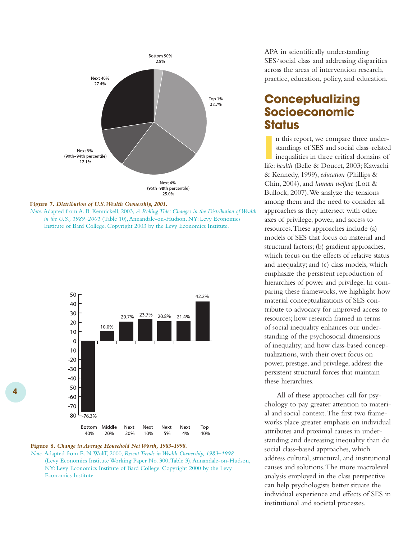

#### **Figure 7.** *Distribution of U.S.Wealth Ownership, 2001.*

*Note.* Adapted from A. B. Kennickell, 2003, *A Rolling Tide: Changes in the Distribution of Wealth in the U.S., 1989–2001* (Table 10), Annandale-on-Hudson, NY: Levy Economics Institute of Bard College. Copyright 2003 by the Levy Economics Institute.



#### **Figure 8.** *Change in Average Household Net Worth, 1983-1998.*

*Note.* Adapted from E. N.Wolff, 2000, *Recent Trends in Wealth Ownership, 1983–1998*  (Levy Economics Institute Working Paper No. 300,Table 3),Annandale-on-Hudson, NY: Levy Economics Institute of Bard College. Copyright 2000 by the Levy Economics Institute.

APA in scientifically understanding SES/social class and addressing disparities across the areas of intervention research, practice, education, policy, and education.

# **Conceptualizing Socioeconomic Status**

In this report, we compare three under-<br>standings of SES and social class-related<br>inequalities in three critical domains of<br>life: *health* (Belle & Doucet, 2003; Kawachi n this report, we compare three understandings of SES and social class–related inequalities in three critical domains of & Kennedy, 1999), *education* (Phillips & Chin, 2004), and *human welfare* (Lott & Bullock, 2007).We analyze the tensions among them and the need to consider all approaches as they intersect with other axes of privilege, power, and access to resources.These approaches include (a) models of SES that focus on material and structural factors; (b) gradient approaches, which focus on the effects of relative status and inequality; and (c) class models, which emphasize the persistent reproduction of hierarchies of power and privilege. In comparing these frameworks, we highlight how material conceptualizations of SES contribute to advocacy for improved access to resources; how research framed in terms of social inequality enhances our understanding of the psychosocial dimensions of inequality;and how class-based conceptualizations, with their overt focus on power, prestige, and privilege, address the persistent structural forces that maintain these hierarchies.

All of these approaches call for psychology to pay greater attention to material and social context.The first two frameworks place greater emphasis on individual attributes and proximal causes in understanding and decreasing inequality than do social class–based approaches, which address cultural, structural, and institutional causes and solutions.The more macrolevel analysis employed in the class perspective can help psychologists better situate the individual experience and effects of SES in institutional and societal processes.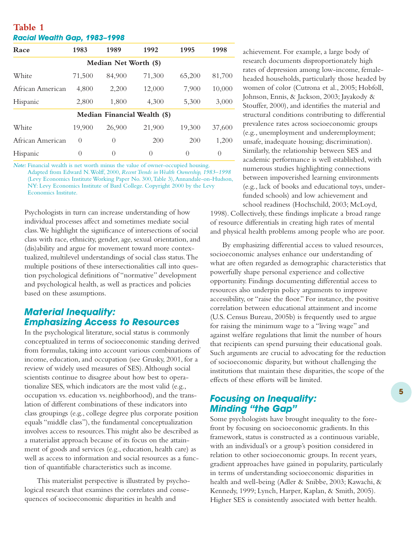| Racial Wealth Gap, 1983-1998 |                  |                       |                              |                  |          |  |
|------------------------------|------------------|-----------------------|------------------------------|------------------|----------|--|
| Race                         | 1983             | 1989                  | 1992                         | 1995             | 1998     |  |
|                              |                  | Median Net Worth (\$) |                              |                  |          |  |
| White                        | 71,500           | 84,900                | 71,300                       | 65,200           | 81,700   |  |
| African American             | 4,800            | 2,200                 | 12,000                       | 7,900            | 10,000   |  |
| Hispanic                     | 2,800            | 1,800                 | 4,300                        | 5,300            | 3,000    |  |
|                              |                  |                       | Median Financial Wealth (\$) |                  |          |  |
| White                        | 19,900           | 26,900                | 21,900                       | 19,300           | 37,600   |  |
| African American             | $\left( \right)$ | $\left( \right)$      | 200                          | 200              | 1,200    |  |
| Hispanic                     | $\left( \right)$ | $\left( \right)$      | $\Omega$                     | $\left( \right)$ | $\Omega$ |  |

**Table 1**

*Note:* Financial wealth is net worth minus the value of owner-occupied housing. Adapted from Edward N.Wolff, 2000, *Recent Trends in Wealth Ownership, 1983–1998* (Levy Economics Institute Working Paper No. 300,Table 3),Annandale-on-Hudson, NY: Levy Economics Institute of Bard College. Copyright 2000 by the Levy Economics Institute.

Psychologists in turn can increase understanding of how individual processes affect and sometimes mediate social class.We highlight the significance of intersections of social class with race, ethnicity, gender, age, sexual orientation, and (dis)ability and argue for movement toward more contextualized, multilevel understandings of social class status.The multiple positions of these intersectionalities call into question psychological definitions of "normative" development and psychological health, as well as practices and policies based on these assumptions.

# *Material Inequality: Emphasizing Access to Resources*

In the psychological literature, social status is commonly conceptualized in terms of socioeconomic standing derived from formulas, taking into account various combinations of income, education, and occupation (see Grusky, 2001, for a review of widely used measures of SES).Although social scientists continue to disagree about how best to operationalize SES, which indicators are the most valid (e.g., occupation vs. education vs. neighborhood), and the translation of different combinations of these indicators into class groupings (e.g., college degree plus corporate position equals "middle class"), the fundamental conceptualization involves access to resources.This might also be described as a materialist approach because of its focus on the attainment of goods and services (e.g., education, health care) as well as access to information and social resources as a function of quantifiable characteristics such as income.

This materialist perspective is illustrated by psychological research that examines the correlates and consequences of socioeconomic disparities in health and

achievement. For example, a large body of research documents disproportionately high rates of depression among low-income, femaleheaded households, particularly those headed by women of color (Cutrona et al., 2005; Hobfoll, Johnson, Ennis, & Jackson, 2003; Jayakody & Stouffer, 2000), and identifies the material and structural conditions contributing to differential prevalence rates across socioeconomic groups (e.g., unemployment and underemployment; unsafe, inadequate housing; discrimination). Similarly, the relationship between SES and academic performance is well established, with numerous studies highlighting connections between impoverished learning environments (e.g., lack of books and educational toys, underfunded schools) and low achievement and school readiness (Hochschild, 2003; McLoyd,

1998). Collectively, these findings implicate a broad range of resource differentials in creating high rates of mental and physical health problems among people who are poor.

By emphasizing differential access to valued resources, socioeconomic analyses enhance our understanding of what are often regarded as demographic characteristics that powerfully shape personal experience and collective opportunity. Findings documenting differential access to resources also underpin policy arguments to improve accessibility, or "raise the floor." For instance, the positive correlation between educational attainment and income (U.S. Census Bureau, 2005b) is frequently used to argue for raising the minimum wage to a "living wage" and against welfare regulations that limit the number of hours that recipients can spend pursuing their educational goals. Such arguments are crucial to advocating for the reduction of socioeconomic disparity, but without challenging the institutions that maintain these disparities, the scope of the effects of these efforts will be limited.

# *Focusing on Inequality: Minding "the Gap"*

Some psychologists have brought inequality to the forefront by focusing on socioeconomic gradients. In this framework, status is constructed as a continuous variable, with an individual's or a group's position considered in relation to other socioeconomic groups. In recent years, gradient approaches have gained in popularity, particularly in terms of understanding socioeconomic disparities in health and well-being (Adler & Snibbe, 2003; Kawachi, & Kennedy, 1999; Lynch, Harper, Kaplan, & Smith, 2005). Higher SES is consistently associated with better health.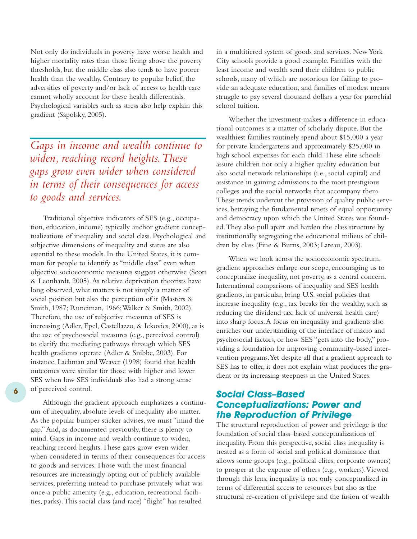Not only do individuals in poverty have worse health and higher mortality rates than those living above the poverty thresholds, but the middle class also tends to have poorer health than the wealthy. Contrary to popular belief, the adversities of poverty and/or lack of access to health care cannot wholly account for these health differentials. Psychological variables such as stress also help explain this gradient (Sapolsky, 2005).

*Gaps in income and wealth continue to widen, reaching record heights.These gaps grow even wider when considered in terms of their consequences for access to goods and services.*

Traditional objective indicators of SES (e.g., occupation, education, income) typically anchor gradient conceptualizations of inequality and social class. Psychological and subjective dimensions of inequality and status are also essential to these models. In the United States, it is common for people to identify as "middle class" even when objective socioeconomic measures suggest otherwise (Scott & Leonhardt, 2005).As relative deprivation theorists have long observed, what matters is not simply a matter of social position but also the perception of it (Masters & Smith, 1987; Runciman, 1966;Walker & Smith, 2002). Therefore, the use of subjective measures of SES is increasing (Adler, Epel, Castellazzo, & Ickovics, 2000), as is the use of psychosocial measures (e.g., perceived control) to clarify the mediating pathways through which SES health gradients operate (Adler & Snibbe, 2003). For instance, Lachman and Weaver (1998) found that health outcomes were similar for those with higher and lower SES when low SES individuals also had a strong sense of perceived control.

Although the gradient approach emphasizes a continuum of inequality, absolute levels of inequality also matter. As the popular bumper sticker advises, we must "mind the gap."And, as documented previously, there is plenty to mind. Gaps in income and wealth continue to widen, reaching record heights.These gaps grow even wider when considered in terms of their consequences for access to goods and services.Those with the most financial resources are increasingly opting out of publicly available services, preferring instead to purchase privately what was once a public amenity (e.g., education, recreational facilities, parks).This social class (and race) "flight" has resulted

**6**

in a multitiered system of goods and services. New York City schools provide a good example. Families with the least income and wealth send their children to public schools, many of which are notorious for failing to provide an adequate education, and families of modest means struggle to pay several thousand dollars a year for parochial school tuition.

Whether the investment makes a difference in educational outcomes is a matter of scholarly dispute. But the wealthiest families routinely spend about \$15,000 a year for private kindergartens and approximately \$25,000 in high school expenses for each child.These elite schools assure children not only a higher quality education but also social network relationships (i.e., social capital) and assistance in gaining admissions to the most prestigious colleges and the social networks that accompany them. These trends undercut the provision of quality public services, betraying the fundamental tenets of equal opportunity and democracy upon which the United States was founded.They also pull apart and harden the class structure by institutionally segregating the educational milieus of children by class (Fine & Burns, 2003; Lareau, 2003).

When we look across the socioeconomic spectrum, gradient approaches enlarge our scope, encouraging us to conceptualize inequality, not poverty, as a central concern. International comparisons of inequality and SES health gradients, in particular, bring U.S. social policies that increase inequality (e.g., tax breaks for the wealthy, such as reducing the dividend tax; lack of universal health care) into sharp focus.A focus on inequality and gradients also enriches our understanding of the interface of macro and psychosocial factors, or how SES "gets into the body," providing a foundation for improving community-based intervention programs.Yet despite all that a gradient approach to SES has to offer, it does not explain what produces the gradient or its increasing steepness in the United States.

### *Social Class–Based Conceptualizations: Power and the Reproduction of Privilege*

The structural reproduction of power and privilege is the foundation of social class–based conceptualizations of inequality. From this perspective, social class inequality is treated as a form of social and political dominance that allows some groups (e.g., political elites, corporate owners) to prosper at the expense of others (e.g., workers).Viewed through this lens, inequality is not only conceptualized in terms of differential access to resources but also as the structural re-creation of privilege and the fusion of wealth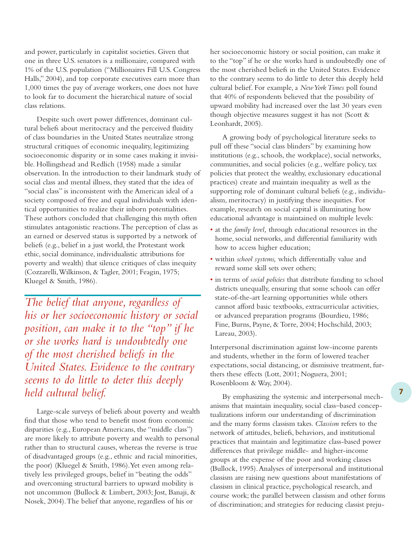and power, particularly in capitalist societies. Given that one in three U.S. senators is a millionaire, compared with 1% of the U.S. population ("Millionaires Fill U.S. Congress Halls," 2004), and top corporate executives earn more than 1,000 times the pay of average workers, one does not have to look far to document the hierarchical nature of social class relations.

Despite such overt power differences, dominant cultural beliefs about meritocracy and the perceived fluidity of class boundaries in the United States neutralize strong structural critiques of economic inequality, legitimizing socioeconomic disparity or in some cases making it invisible. Hollingshead and Redlich (1958) made a similar observation. In the introduction to their landmark study of social class and mental illness, they stated that the idea of "social class" is inconsistent with the American ideal of a society composed of free and equal individuals with identical opportunities to realize their inborn potentialities. These authors concluded that challenging this myth often stimulates antagonistic reactions.The perception of class as an earned or deserved status is supported by a network of beliefs (e.g., belief in a just world, the Protestant work ethic, social dominance, individualistic attributions for poverty and wealth) that silence critiques of class inequity (Cozzarelli,Wilkinson, & Tagler, 2001; Feagin, 1975; Kluegel & Smith, 1986).

*The belief that anyone, regardless of his or her socioeconomic history or social position, can make it to the "top" if he or she works hard is undoubtedly one of the most cherished beliefs in the United States. Evidence to the contrary seems to do little to deter this deeply held cultural belief.*

Large-scale surveys of beliefs about poverty and wealth find that those who tend to benefit most from economic disparities (e.g., European Americans, the "middle class") are more likely to attribute poverty and wealth to personal rather than to structural causes, whereas the reverse is true of disadvantaged groups (e.g., ethnic and racial minorities, the poor) (Kluegel & Smith, 1986).Yet even among relatively less privileged groups, belief in "beating the odds" and overcoming structural barriers to upward mobility is not uncommon (Bullock & Limbert, 2003; Jost, Banaji, & Nosek, 2004).The belief that anyone, regardless of his or

her socioeconomic history or social position, can make it to the "top" if he or she works hard is undoubtedly one of the most cherished beliefs in the United States. Evidence to the contrary seems to do little to deter this deeply held cultural belief. For example, a *New York Times* poll found that 40% of respondents believed that the possibility of upward mobility had increased over the last 30 years even though objective measures suggest it has not (Scott & Leonhardt, 2005).

A growing body of psychological literature seeks to pull off these "social class blinders" by examining how institutions (e.g., schools, the workplace), social networks, communities, and social policies (e.g., welfare policy, tax policies that protect the wealthy, exclusionary educational practices) create and maintain inequality as well as the supporting role of dominant cultural beliefs (e.g., individualism, meritocracy) in justifying these inequities. For example, research on social capital is illuminating how educational advantage is maintained on multiple levels:

- at the *family level,* through educational resources in the home, social networks, and differential familiarity with how to access higher education;
- within *school systems,* which differentially value and reward some skill sets over others;
- in terms of *social policies* that distribute funding to school districts unequally, ensuring that some schools can offer state-of-the-art learning opportunities while others cannot afford basic textbooks, extracurricular activities, or advanced preparation programs (Bourdieu, 1986; Fine, Burns, Payne, & Torre, 2004; Hochschild, 2003; Lareau, 2003).

Interpersonal discrimination against low-income parents and students, whether in the form of lowered teacher expectations, social distancing, or dismissive treatment, furthers these effects (Lott, 2001; Noguera, 2001; Rosenbloom & Way, 2004).

By emphasizing the systemic and interpersonal mechanisms that maintain inequality, social class–based conceptualizations inform our understanding of discrimination and the many forms classism takes. *Classism* refers to the network of attitudes, beliefs, behaviors, and institutional practices that maintain and legitimatize class-based power differences that privilege middle- and higher-income groups at the expense of the poor and working classes (Bullock, 1995).Analyses of interpersonal and institutional classism are raising new questions about manifestations of classism in clinical practice, psychological research, and course work; the parallel between classism and other forms of discrimination; and strategies for reducing classist preju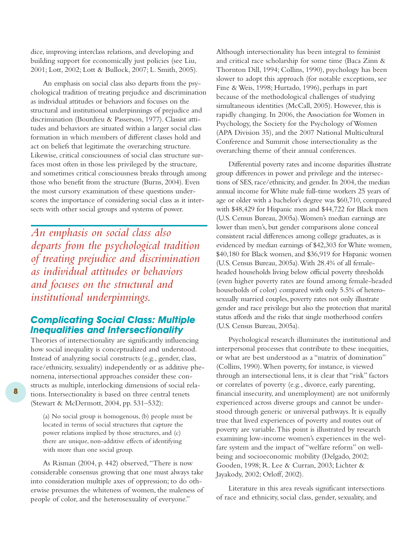dice, improving interclass relations, and developing and building support for economically just policies (see Liu, 2001; Lott, 2002; Lott & Bullock, 2007; L. Smith, 2005).

An emphasis on social class also departs from the psychological tradition of treating prejudice and discrimination as individual attitudes or behaviors and focuses on the structural and institutional underpinnings of prejudice and discrimination (Bourdieu & Passerson, 1977). Classist attitudes and behaviors are situated within a larger social class formation in which members of different classes hold and act on beliefs that legitimate the overarching structure. Likewise, critical consciousness of social class structure surfaces most often in those less privileged by the structure, and sometimes critical consciousness breaks through among those who benefit from the structure (Burns, 2004). Even the most cursory examination of these questions underscores the importance of considering social class as it intersects with other social groups and systems of power.

*An emphasis on social class also departs from the psychological tradition of treating prejudice and discrimination as individual attitudes or behaviors and focuses on the structural and institutional underpinnings.*

# *Complicating Social Class: Multiple Inequalities and Intersectionality*

Theories of intersectionality are significantly influencing how social inequality is conceptualized and understood. Instead of analyzing social constructs (e.g., gender, class, race/ethnicity, sexuality) independently or as additive phenomena, intersectional approaches consider these constructs as multiple, interlocking dimensions of social relations. Intersectionality is based on three central tenets (Stewart & McDermott, 2004, pp. 531–532):

(a) No social group is homogenous, (b) people must be located in terms of social structures that capture the power relations implied by those structures, and (c) there are unique, non-additive effects of identifying with more than one social group.

As Risman (2004, p. 442) observed,"There is now considerable consensus growing that one must always take into consideration multiple axes of oppression; to do otherwise presumes the whiteness of women, the maleness of people of color, and the heterosexuality of everyone."

Although intersectionality has been integral to feminist and critical race scholarship for some time (Baca Zinn & Thornton Dill, 1994; Collins, 1990), psychology has been slower to adopt this approach (for notable exceptions, see Fine & Weis, 1998; Hurtado, 1996), perhaps in part because of the methodological challenges of studying simultaneous identities (McCall, 2005). However, this is rapidly changing. In 2006, the Association for Women in Psychology, the Society for the Psychology of Women (APA Division 35), and the 2007 National Multicultural Conference and Summit chose intersectionality as the overarching theme of their annual conferences.

Differential poverty rates and income disparities illustrate group differences in power and privilege and the intersections of SES, race/ethnicity, and gender. In 2004, the median annual income for White male full-time workers 25 years of age or older with a bachelor's degree was \$60,710, compared with \$48,429 for Hispanic men and \$44,722 for Black men (U.S. Census Bureau, 2005a).Women's median earnings are lower than men's, but gender comparisons alone conceal consistent racial differences among college graduates, as is evidenced by median earnings of \$42,303 for White women, \$40,180 for Black women, and \$36,919 for Hispanic women (U.S. Census Bureau, 2005a).With 28.4% of all femaleheaded households living below official poverty thresholds (even higher poverty rates are found among female-headed households of color) compared with only 5.5% of heterosexually married couples, poverty rates not only illustrate gender and race privilege but also the protection that marital status affords and the risks that single motherhood confers (U.S. Census Bureau, 2005a).

Psychological research illuminates the institutional and interpersonal processes that contribute to these inequities, or what are best understood as a "matrix of domination" (Collins, 1990).When poverty, for instance, is viewed through an intersectional lens, it is clear that "risk" factors or correlates of poverty (e.g., divorce, early parenting, financial insecurity, and unemployment) are not uniformly experienced across diverse groups and cannot be understood through generic or universal pathways. It is equally true that lived experiences of poverty and routes out of poverty are variable.This point is illustrated by research examining low-income women's experiences in the welfare system and the impact of "welfare reform" on wellbeing and socioeconomic mobility (Delgado, 2002; Gooden, 1998; R. Lee & Curran, 2003; Lichter & Jayakody, 2002; Orloff, 2002).

Literature in this area reveals significant intersections of race and ethnicity, social class, gender, sexuality, and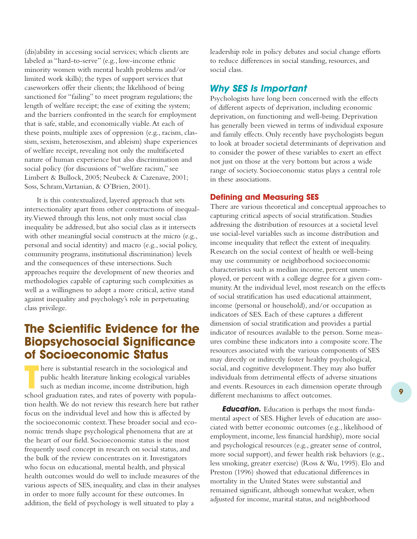(dis)ability in accessing social services; which clients are labeled as "hard-to-serve" (e.g., low-income ethnic minority women with mental health problems and/or limited work skills); the types of support services that caseworkers offer their clients; the likelihood of being sanctioned for "failing" to meet program regulations; the length of welfare receipt; the ease of exiting the system; and the barriers confronted in the search for employment that is safe, stable, and economically viable.At each of these points, multiple axes of oppression (e.g., racism, classism, sexism, heterosexism, and ableism) shape experiences of welfare receipt, revealing not only the multifaceted nature of human experience but also discrimination and social policy (for discussions of "welfare racism," see Limbert & Bullock, 2005; Neubeck & Cazenave, 2001; Soss, Schram, Vartanian, & O'Brien, 2001).

It is this contextualized, layered approach that sets intersectionality apart from other constructions of inequality.Viewed through this lens, not only must social class inequality be addressed, but also social class as it intersects with other meaningful social constructs at the micro (e.g., personal and social identity) and macro (e.g., social policy, community programs, institutional discrimination) levels and the consequences of these intersections. Such approaches require the development of new theories and methodologies capable of capturing such complexities as well as a willingness to adopt a more critical, active stand against inequality and psychology's role in perpetuating class privilege.

# **The Scientific Evidence for the Biopsychosocial Significance of Socioeconomic Status**

**THE SCHOOL SCHOOL FORM SCHOOL GRADUATE SCHOOL graduation rates, and rates of poverty with popula-<br>school graduation rates, and rates of poverty with popula**here is substantial research in the sociological and public health literature linking ecological variables such as median income, income distribution, high tion health.We do not review this research here but rather focus on the individual level and how this is affected by the socioeconomic context.These broader social and economic trends shape psychological phenomena that are at the heart of our field. Socioeconomic status is the most frequently used concept in research on social status, and the bulk of the review concentrates on it. Investigators who focus on educational, mental health, and physical health outcomes would do well to include measures of the various aspects of SES, inequality, and class in their analyses in order to more fully account for these outcomes. In addition, the field of psychology is well situated to play a

leadership role in policy debates and social change efforts to reduce differences in social standing, resources, and social class.

### *Why SES Is Important*

Psychologists have long been concerned with the effects of different aspects of deprivation, including economic deprivation, on functioning and well-being. Deprivation has generally been viewed in terms of individual exposure and family effects. Only recently have psychologists begun to look at broader societal determinants of deprivation and to consider the power of these variables to exert an effect not just on those at the very bottom but across a wide range of society. Socioeconomic status plays a central role in these associations.

### **Defining and Measuring SES**

There are various theoretical and conceptual approaches to capturing critical aspects of social stratification. Studies addressing the distribution of resources at a societal level use social-level variables such as income distribution and income inequality that reflect the extent of inequality. Research on the social context of health or well-being may use community or neighborhood socioeconomic characteristics such as median income, percent unemployed, or percent with a college degree for a given community.At the individual level, most research on the effects of social stratification has used educational attainment, income (personal or household), and/or occupation as indicators of SES. Each of these captures a different dimension of social stratification and provides a partial indicator of resources available to the person. Some measures combine these indicators into a composite score.The resources associated with the various components of SES may directly or indirectly foster healthy psychological, social, and cognitive development.They may also buffer individuals from detrimental effects of adverse situations and events. Resources in each dimension operate through different mechanisms to affect outcomes.

*Education.* Education is perhaps the most fundamental aspect of SES. Higher levels of education are associated with better economic outcomes (e.g., likelihood of employment, income, less financial hardship), more social and psychological resources (e.g., greater sense of control, more social support), and fewer health risk behaviors (e.g., less smoking, greater exercise) (Ross & Wu, 1995). Elo and Preston (1996) showed that educational differences in mortality in the United States were substantial and remained significant, although somewhat weaker, when adjusted for income, marital status, and neighborhood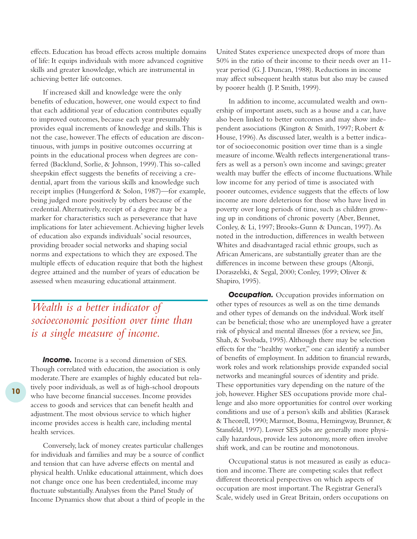effects. Education has broad effects across multiple domains of life: It equips individuals with more advanced cognitive skills and greater knowledge, which are instrumental in achieving better life outcomes.

If increased skill and knowledge were the only benefits of education, however, one would expect to find that each additional year of education contributes equally to improved outcomes, because each year presumably provides equal increments of knowledge and skills.This is not the case, however.The effects of education are discontinuous, with jumps in positive outcomes occurring at points in the educational process when degrees are conferred (Backlund, Sorlie, & Johnson, 1999).This so-called sheepskin effect suggests the benefits of receiving a credential, apart from the various skills and knowledge such receipt implies (Hungerford & Solon, 1987)—for example, being judged more positively by others because of the credential.Alternatively, receipt of a degree may be a marker for characteristics such as perseverance that have implications for later achievement.Achieving higher levels of education also expands individuals' social resources, providing broader social networks and shaping social norms and expectations to which they are exposed.The multiple effects of education require that both the highest degree attained and the number of years of education be assessed when measuring educational attainment.

# *Wealth is a better indicator of socioeconomic position over time than is a single measure of income.*

**Income.** Income is a second dimension of SES. Though correlated with education, the association is only moderate.There are examples of highly educated but relatively poor individuals, as well as of high-school dropouts who have become financial successes. Income provides access to goods and services that can benefit health and adjustment.The most obvious service to which higher income provides access is health care, including mental health services.

Conversely, lack of money creates particular challenges for individuals and families and may be a source of conflict and tension that can have adverse effects on mental and physical health. Unlike educational attainment, which does not change once one has been credentialed, income may fluctuate substantially.Analyses from the Panel Study of Income Dynamics show that about a third of people in the United States experience unexpected drops of more than 50% in the ratio of their income to their needs over an 11 year period (G. J. Duncan, 1988). Reductions in income may affect subsequent health status but also may be caused by poorer health (J. P. Smith, 1999).

In addition to income, accumulated wealth and ownership of important assets, such as a house and a car, have also been linked to better outcomes and may show independent associations (Kington & Smith, 1997; Robert & House, 1996).As discussed later, wealth is a better indicator of socioeconomic position over time than is a single measure of income.Wealth reflects intergenerational transfers as well as a person's own income and savings; greater wealth may buffer the effects of income fluctuations.While low income for any period of time is associated with poorer outcomes, evidence suggests that the effects of low income are more deleterious for those who have lived in poverty over long periods of time, such as children growing up in conditions of chronic poverty (Aber, Bennet, Conley, & Li, 1997; Brooks-Gunn & Duncan, 1997).As noted in the introduction, differences in wealth between Whites and disadvantaged racial ethnic groups, such as African Americans, are substantially greater than are the differences in income between these groups (Altonji, Doraszelski, & Segal, 2000; Conley, 1999; Oliver & Shapiro, 1995).

**Occupation.** Occupation provides information on other types of resources as well as on the time demands and other types of demands on the indvidual.Work itself can be beneficial; those who are unemployed have a greater risk of physical and mental illnesses (for a review, see Jin, Shah, & Svobada, 1995). Although there may be selection effects for the "healthy worker," one can identify a number of benefits of employment. In addition to financial rewards, work roles and work relationships provide expanded social networks and meaningful sources of identity and pride. These opportunities vary depending on the nature of the job, however. Higher SES occupations provide more challenge and also more opportunities for control over working conditions and use of a person's skills and abilities (Karasek & Theorell, 1990; Marmot, Bosma, Hemingway, Brunner, & Stansfeld, 1997). Lower SES jobs are generally more physically hazardous, provide less autonomy, more often involve shift work, and can be routine and monotonous.

Occupational status is not measured as easily as education and income.There are competing scales that reflect different theoretical perspectives on which aspects of occupation are most important.The Registrar General's Scale, widely used in Great Britain, orders occupations on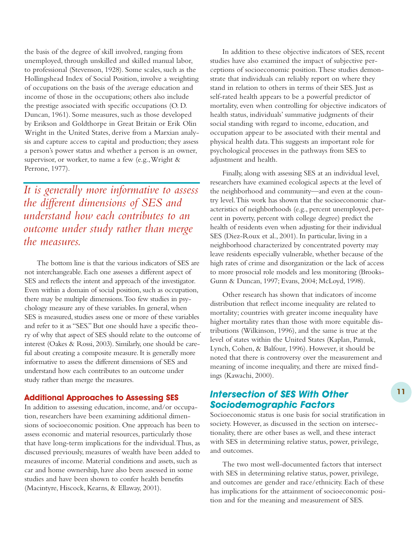the basis of the degree of skill involved, ranging from unemployed, through unskilled and skilled manual labor, to professional (Stevenson, 1928). Some scales, such as the Hollingshead Index of Social Position, involve a weighting of occupations on the basis of the average education and income of those in the occupations; others also include the prestige associated with specific occupations (O. D. Duncan, 1961). Some measures, such as those developed by Erikson and Goldthorpe in Great Britain or Erik Olin Wright in the United States, derive from a Marxian analysis and capture access to capital and production; they assess a person's power status and whether a person is an owner, supervisor, or worker, to name a few (e.g.,Wright & Perrone, 1977).

*It is generally more informative to assess the different dimensions of SES and understand how each contributes to an outcome under study rather than merge the measures.*

The bottom line is that the various indicators of SES are not interchangeable. Each one assesses a different aspect of SES and reflects the intent and approach of the investigator. Even within a domain of social position, such as occupation, there may be multiple dimensions.Too few studies in psychology measure any of these variables. In general, when SES is measured, studies assess one or more of these variables and refer to it as "SES." But one should have a specific theory of why that aspect of SES should relate to the outcome of interest (Oakes & Rossi, 2003). Similarly, one should be careful about creating a composite measure. It is generally more informative to assess the different dimensions of SES and understand how each contributes to an outcome under study rather than merge the measures.

#### **Additional Approaches to Assessing SES**

In addition to assessing education, income, and/or occupation, researchers have been examining additional dimensions of socioeconomic position. One approach has been to assess economic and material resources, particularly those that have long-term implications for the individual.Thus, as discussed previously, measures of wealth have been added to measures of income. Material conditions and assets, such as car and home ownership, have also been assessed in some studies and have been shown to confer health benefits (Macintyre, Hiscock, Kearns, & Ellaway, 2001).

In addition to these objective indicators of SES, recent studies have also examined the impact of subjective perceptions of socioeconomic position.These studies demonstrate that individuals can reliably report on where they stand in relation to others in terms of their SES. Just as self-rated health appears to be a powerful predictor of mortality, even when controlling for objective indicators of health status, individuals' summative judgments of their social standing with regard to income, education, and occupation appear to be associated with their mental and physical health data.This suggests an important role for psychological processes in the pathways from SES to adjustment and health.

Finally, along with assessing SES at an individual level, researchers have examined ecological aspects at the level of the neighborhood and community—and even at the country level.This work has shown that the socioeconomic characteristics of neighborhoods (e.g., percent unemployed, percent in poverty, percent with college degree) predict the health of residents even when adjusting for their individual SES (Diez-Roux et al., 2001). In particular, living in a neighborhood characterized by concentrated poverty may leave residents especially vulnerable, whether because of the high rates of crime and disorganization or the lack of access to more prosocial role models and less monitoring (Brooks-Gunn & Duncan, 1997; Evans, 2004; McLoyd, 1998).

Other research has shown that indicators of income distribution that reflect income inequality are related to mortality; countries with greater income inequality have higher mortality rates than those with more equitable distributions (Wilkinson, 1996), and the same is true at the level of states within the United States (Kaplan, Pamuk, Lynch, Cohen, & Balfour, 1996). However, it should be noted that there is controversy over the measurement and meaning of income inequality, and there are mixed findings (Kawachi, 2000).

### *Intersection of SES With Other Sociodemographic Factors*

Socioeconomic status is one basis for social stratification in society. However, as discussed in the section on intersectionality, there are other bases as well, and these interact with SES in determining relative status, power, privilege, and outcomes.

The two most well-documented factors that intersect with SES in determining relative status, power, privilege, and outcomes are gender and race/ethnicity. Each of these has implications for the attainment of socioeconomic position and for the meaning and measurement of SES.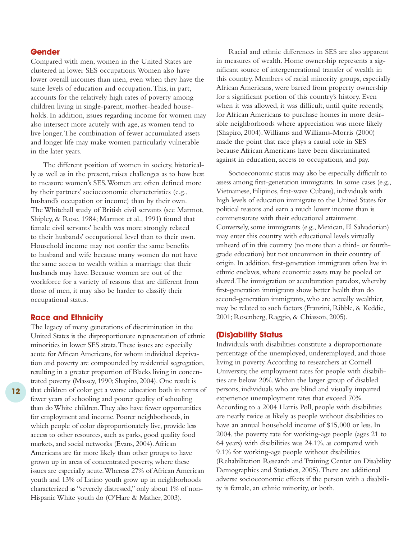#### **Gender**

Compared with men, women in the United States are clustered in lower SES occupations.Women also have lower overall incomes than men, even when they have the same levels of education and occupation.This, in part, accounts for the relatively high rates of poverty among children living in single-parent, mother-headed households. In addition, issues regarding income for women may also intersect more acutely with age, as women tend to live longer.The combination of fewer accumulated assets and longer life may make women particularly vulnerable in the later years.

The different position of women in society, historically as well as in the present, raises challenges as to how best to measure women's SES.Women are often defined more by their partners' socioeconomic characteristics (e.g., husband's occupation or income) than by their own. The Whitehall study of British civil servants (see Marmot, Shipley, & Rose, 1984; Marmot et al., 1991) found that female civil servants' health was more strongly related to their husbands' occupational level than to their own. Household income may not confer the same benefits to husband and wife because many women do not have the same access to wealth within a marriage that their husbands may have. Because women are out of the workforce for a variety of reasons that are different from those of men, it may also be harder to classify their occupational status.

#### **Race and Ethnicity**

The legacy of many generations of discrimination in the United States is the disproportionate representation of ethnic minorities in lower SES strata.These issues are especially acute for African Americans, for whom individual deprivation and poverty are compounded by residential segregation, resulting in a greater proportion of Blacks living in concentrated poverty (Massey, 1990; Shapiro, 2004). One result is that children of color get a worse education both in terms of fewer years of schooling and poorer quality of schooling than do White children.They also have fewer opportunities for employment and income. Poorer neighborhoods, in which people of color disproportionately live, provide less access to other resources, such as parks, good quality food markets, and social networks (Evans, 2004).African Americans are far more likely than other groups to have grown up in areas of concentrated poverty, where these issues are especially acute.Whereas 27% of African American youth and 13% of Latino youth grow up in neighborhoods characterized as "severely distressed," only about 1% of non-Hispanic White youth do (O'Hare & Mather, 2003).

Racial and ethnic differences in SES are also apparent in measures of wealth. Home ownership represents a significant source of intergenerational transfer of wealth in this country. Members of racial minority groups, especially African Americans, were barred from property ownership for a significant portion of this country's history. Even when it was allowed, it was difficult, until quite recently, for African Americans to purchase homes in more desirable neighborhoods where appreciation was more likely (Shapiro, 2004).Williams and Williams-Morris (2000) made the point that race plays a causal role in SES because African Americans have been discriminated against in education, access to occupations, and pay.

Socioeconomic status may also be especially difficult to assess among first-generation immigrants. In some cases (e.g., Vietnamese, Filipinos, first-wave Cubans), individuals with high levels of education immigrate to the United States for political reasons and earn a much lower income than is commensurate with their educational attainment. Conversely, some immigrants (e.g., Mexican, El Salvadorian) may enter this country with educational levels virtually unheard of in this country (no more than a third- or fourthgrade education) but not uncommon in their country of origin. In addition, first-generation immigrants often live in ethnic enclaves, where economic assets may be pooled or shared.The immigration or acculturation paradox, whereby first-generation immigrants show better health than do second-generation immigrants, who are actually wealthier, may be related to such factors (Franzini, Ribble, & Keddie, 2001; Rosenberg, Raggio, & Chiasson, 2005).

#### **(Dis)ability Status**

Individuals with disabilities constitute a disproportionate percentage of the unemployed, underemployed, and those living in poverty.According to researchers at Cornell University, the employment rates for people with disabilities are below 20%.Within the larger group of disabled persons, individuals who are blind and visually impaired experience unemployment rates that exceed 70%. According to a 2004 Harris Poll, people with disabilities are nearly twice as likely as people without disabilities to have an annual household income of \$15,000 or less. In 2004, the poverty rate for working-age people (ages 21 to 64 years) with disabilities was 24.1%, as compared with 9.1% for working-age people without disabilities (Rehabilitation Research and Training Center on Disability Demographics and Statistics, 2005).There are additional adverse socioeconomic effects if the person with a disability is female, an ethnic minority, or both.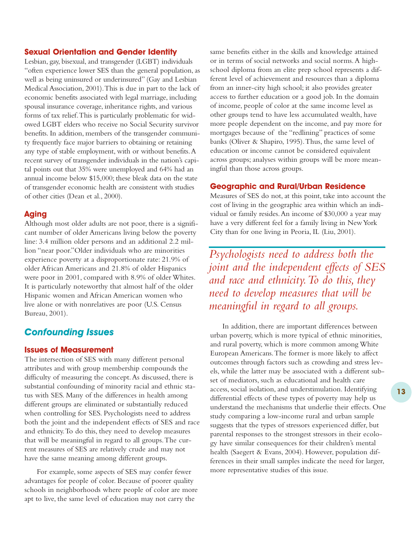#### **Sexual Orientation and Gender Identity**

Lesbian, gay, bisexual, and transgender (LGBT) individuals "often experience lower SES than the general population, as well as being uninsured or underinsured" (Gay and Lesbian Medical Association, 2001).This is due in part to the lack of economic benefits associated with legal marriage, including spousal insurance coverage, inheritance rights, and various forms of tax relief.This is particularly problematic for widowed LGBT elders who receive no Social Security survivor benefits. In addition, members of the transgender community frequently face major barriers to obtaining or retaining any type of stable employment, with or without benefits.A recent survey of transgender individuals in the nation's capital points out that 35% were unemployed and 64% had an annual income below \$15,000; these bleak data on the state of transgender economic health are consistent with studies of other cities (Dean et al., 2000).

#### **Aging**

Although most older adults are not poor, there is a significant number of older Americans living below the poverty line: 3.4 million older persons and an additional 2.2 million "near poor."Older individuals who are minorities experience poverty at a disproportionate rate: 21.9% of older African Americans and 21.8% of older Hispanics were poor in 2001, compared with 8.9% of older Whites. It is particularly noteworthy that almost half of the older Hispanic women and African American women who live alone or with nonrelatives are poor (U.S. Census Bureau, 2001).

# *Confounding Issues*

### **Issues of Measurement**

The intersection of SES with many different personal attributes and with group membership compounds the difficulty of measuring the concept.As discussed, there is substantial confounding of minority racial and ethnic status with SES. Many of the differences in health among different groups are eliminated or substantially reduced when controlling for SES. Psychologists need to address both the joint and the independent effects of SES and race and ethnicity.To do this, they need to develop measures that will be meaningful in regard to all groups.The current measures of SES are relatively crude and may not have the same meaning among different groups.

For example, some aspects of SES may confer fewer advantages for people of color. Because of poorer quality schools in neighborhoods where people of color are more apt to live, the same level of education may not carry the

same benefits either in the skills and knowledge attained or in terms of social networks and social norms.A highschool diploma from an elite prep school represents a different level of achievement and resources than a diploma from an inner-city high school; it also provides greater access to further education or a good job. In the domain of income, people of color at the same income level as other groups tend to have less accumulated wealth, have more people dependent on the income, and pay more for mortgages because of the "redlining" practices of some banks (Oliver & Shapiro, 1995).Thus, the same level of education or income cannot be considered equivalent across groups; analyses within groups will be more meaningful than those across groups.

#### **Geographic and Rural/Urban Residence**

Measures of SES do not, at this point, take into account the cost of living in the geographic area within which an individual or family resides.An income of \$30,000 a year may have a very different feel for a family living in New York City than for one living in Peoria, IL (Liu, 2001).

*Psychologists need to address both the joint and the independent effects of SES and race and ethnicity.To do this, they need to develop measures that will be meaningful in regard to all groups.*

In addition, there are important differences between urban poverty, which is more typical of ethnic minorities, and rural poverty, which is more common among White European Americans.The former is more likely to affect outcomes through factors such as crowding and stress levels, while the latter may be associated with a different subset of mediators, such as educational and health care access, social isolation, and understimulation. Identifying differential effects of these types of poverty may help us understand the mechanisms that underlie their effects. One study comparing a low-income rural and urban sample suggests that the types of stressors experienced differ, but parental responses to the strongest stressors in their ecology have similar consequences for their children's mental health (Saegert & Evans, 2004). However, population differences in their small samples indicate the need for larger, more representative studies of this issue.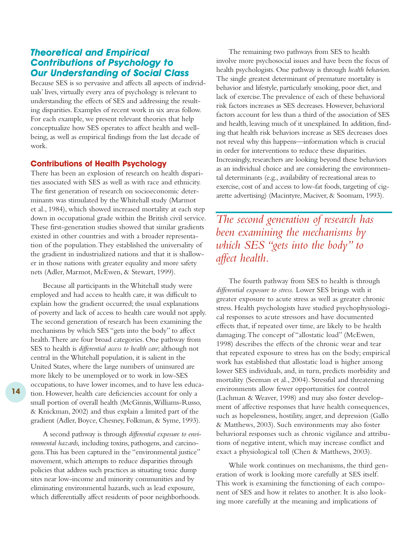### *Theoretical and Empirical Contributions of Psychology to Our Understanding of Social Class*

Because SES is so pervasive and affects all aspects of individuals' lives, virtually every area of psychology is relevant to understanding the effects of SES and addressing the resulting disparities. Examples of recent work in six areas follow. For each example, we present relevant theories that help conceptualize how SES operates to affect health and wellbeing, as well as empirical findings from the last decade of work.

#### **Contributions of Health Psychology**

There has been an explosion of research on health disparities associated with SES as well as with race and ethnicity. The first generation of research on socioeconomic determinants was stimulated by the Whitehall study (Marmot et al., 1984), which showed increased mortality at each step down in occupational grade within the British civil service. These first-generation studies showed that similar gradients existed in other countries and with a broader representation of the population.They established the universality of the gradient in industrialized nations and that it is shallower in those nations with greater equality and more safety nets (Adler, Marmot, McEwen, & Stewart, 1999).

Because all participants in the Whitehall study were employed and had access to health care, it was difficult to explain how the gradient occurred; the usual explanations of poverty and lack of access to health care would not apply. The second generation of research has been examining the mechanisms by which SES "gets into the body" to affect health.There are four broad categories. One pathway from SES to health is *differential access to health care*; although not central in the Whitehall population, it is salient in the United States, where the large numbers of uninsured are more likely to be unemployed or to work in low-SES occupations, to have lower incomes, and to have less education. However, health care deficiencies account for only a small portion of overall health (McGinnis,Williams-Russo, & Knickman, 2002) and thus explain a limited part of the gradient (Adler, Boyce, Chesney, Folkman, & Syme, 1993).

A second pathway is through *differential exposure to environmental hazards,* including toxins, pathogens, and carcinogens.This has been captured in the "environmental justice" movement, which attempts to reduce disparities through policies that address such practices as situating toxic dump sites near low-income and minority communities and by eliminating environmental hazards, such as lead exposure, which differentially affect residents of poor neighborhoods.

The remaining two pathways from SES to health involve more psychosocial issues and have been the focus of health psychologists. One pathway is through *health behaviors.* The single greatest determinant of premature mortality is behavior and lifestyle, particularly smoking, poor diet, and lack of exercise.The prevalence of each of these behavioral risk factors increases as SES decreases. However, behavioral factors account for less than a third of the association of SES and health, leaving much of it unexplained. In addition, finding that health risk behaviors increase as SES decreases does not reveal why this happens—information which is crucial in order for interventions to reduce these disparities. Increasingly, researchers are looking beyond these behaviors as an individual choice and are considering the environmental determinants (e.g., availability of recreational areas to exercise, cost of and access to low-fat foods, targeting of cigarette advertising) (Macintyre, Maciver, & Soomam, 1993).

*The second generation of research has been examining the mechanisms by which SES "gets into the body" to affect health.*

The fourth pathway from SES to health is through *differential exposure to stress.* Lower SES brings with it greater exposure to acute stress as well as greater chronic stress. Health psychologists have studied psychophysiological responses to acute stressors and have documented effects that, if repeated over time, are likely to be health damaging.The concept of "allostatic load" (McEwen, 1998) describes the effects of the chronic wear and tear that repeated exposure to stress has on the body; empirical work has established that allostatic load is higher among lower SES individuals, and, in turn, predicts morbidity and mortality (Seeman et al., 2004). Stressful and threatening environments allow fewer opportunities for control (Lachman & Weaver, 1998) and may also foster development of affective responses that have health consequences, such as hopelessness, hostility, anger, and depression (Gallo & Matthews, 2003). Such environments may also foster behavioral responses such as chronic vigilance and attributions of negative intent, which may increase conflict and exact a physiological toll (Chen & Matthews, 2003).

While work continues on mechanisms, the third generation of work is looking more carefully at SES itself. This work is examining the functioning of each component of SES and how it relates to another. It is also looking more carefully at the meaning and implications of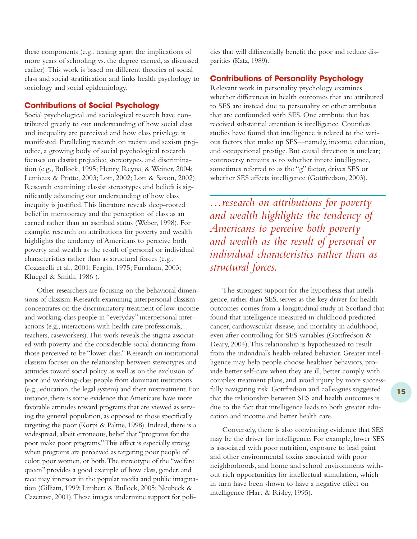these components (e.g., teasing apart the implications of more years of schooling vs. the degree earned, as discussed earlier).This work is based on different theories of social class and social stratification and links health psychology to sociology and social epidemiology.

#### **Contributions of Social Psychology**

Social psychological and sociological research have contributed greatly to our understanding of how social class and inequality are perceived and how class privilege is manifested. Paralleling research on racism and sexism prejudice, a growing body of social psychological research focuses on classist prejudice, stereotypes, and discrimination (e.g., Bullock, 1995; Henry, Reyna, & Weiner, 2004; Lemieux & Pratto, 2003; Lott, 2002; Lott & Saxon, 2002). Research examining classist stereotypes and beliefs is significantly advancing our understanding of how class inequity is justified.This literature reveals deep-rooted belief in meritocracy and the perception of class as an earned rather than an ascribed status (Weber, 1998). For example, research on attributions for poverty and wealth highlights the tendency of Americans to perceive both poverty and wealth as the result of personal or individual characteristics rather than as structural forces (e.g., Cozzarelli et al., 2001; Feagin, 1975; Furnham, 2003; Kluegel & Smith, 1986 ).

Other researchers are focusing on the behavioral dimensions of classism. Research examining interpersonal classism concentrates on the discriminatory treatment of low-income and working-class people in "everyday" interpersonal interactions (e.g., interactions with health care professionals, teachers, caseworkers).This work reveals the stigma associated with poverty and the considerable social distancing from those perceived to be "lower class." Research on institutional classism focuses on the relationship between stereotypes and attitudes toward social policy as well as on the exclusion of poor and working-class people from dominant institutions (e.g., education, the legal system) and their mistreatment. For instance, there is some evidence that Americans have more favorable attitudes toward programs that are viewed as serving the general population, as opposed to those specifically targeting the poor (Korpi & Palme, 1998). Indeed, there is a widespread, albeit erroneous, belief that "programs for the poor make poor programs."This effect is especially strong when programs are perceived as targeting poor people of color, poor women, or both.The stereotype of the "welfare queen" provides a good example of how class, gender, and race may intersect in the popular media and public imagination (Gilliam, 1999; Limbert & Bullock, 2005; Neubeck & Cazenave, 2001).These images undermine support for policies that will differentially benefit the poor and reduce disparities (Katz, 1989).

### **Contributions of Personality Psychology**

Relevant work in personality psychology examines whether differences in health outcomes that are attributed to SES are instead due to personality or other attributes that are confounded with SES. One attribute that has received substantial attention is intelligence. Countless studies have found that intelligence is related to the various factors that make up SES—namely, income, education, and occupational prestige. But causal direction is unclear; controversy remains as to whether innate intelligence, sometimes referred to as the "g" factor, drives SES or whether SES affects intelligence (Gottfredson, 2003).

*…research on attributions for poverty and wealth highlights the tendency of Americans to perceive both poverty and wealth as the result of personal or individual characteristics rather than as structural forces.*

The strongest support for the hypothesis that intelligence, rather than SES, serves as the key driver for health outcomes comes from a longitudinal study in Scotland that found that intelligence measured in childhood predicted cancer, cardiovascular disease, and mortality in adulthood, even after controlling for SES variables (Gottfredson & Deary, 2004).This relationship is hypothesized to result from the individual's health-related behavior. Greater intelligence may help people choose healthier behaviors, provide better self-care when they are ill, better comply with complex treatment plans, and avoid injury by more successfully navigating risk. Gottfredson and colleagues suggested that the relationship between SES and health outcomes is due to the fact that intelligence leads to both greater education and income and better health care.

Conversely, there is also convincing evidence that SES may be the driver for intelligence. For example, lower SES is associated with poor nutrition, exposure to lead paint and other environmental toxins associated with poor neighborhoods, and home and school environments without rich opportunities for intellectual stimulation, which in turn have been shown to have a negative effect on intelligence (Hart & Risley, 1995).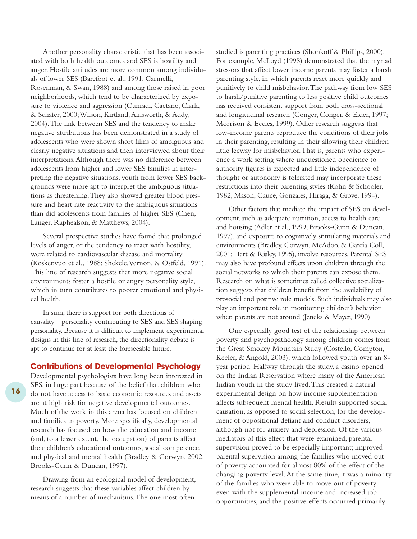Another personality characteristic that has been associated with both health outcomes and SES is hostility and anger. Hostile attitudes are more common among individuals of lower SES (Barefoot et al., 1991; Carmelli, Rosenman, & Swan, 1988) and among those raised in poor neighborhoods, which tend to be characterized by exposure to violence and aggression (Cunradi, Caetano, Clark, & Schafer, 2000;Wilson, Kirtland,Ainsworth, & Addy, 2004).The link between SES and the tendency to make negative attributions has been demonstrated in a study of adolescents who were shown short films of ambiguous and clearly negative situations and then interviewed about their interpretations.Although there was no difference between adolescents from higher and lower SES families in interpreting the negative situations, youth from lower SES backgrounds were more apt to interpret the ambiguous situations as threatening.They also showed greater blood pressure and heart rate reactivity to the ambiguous situations than did adolescents from families of higher SES (Chen, Langer, Raphealson, & Matthews, 2004).

Several prospective studies have found that prolonged levels of anger, or the tendency to react with hostility, were related to cardiovascular disease and mortality (Koskenvuo et al., 1988; Shekele,Vernon, & Ostfeld, 1991). This line of research suggests that more negative social environments foster a hostile or angry personality style, which in turn contributes to poorer emotional and physical health.

In sum, there is support for both directions of causality—personality contributing to SES and SES shaping personality. Because it is difficult to implement experimental designs in this line of research, the directionality debate is apt to continue for at least the foreseeable future.

#### **Contributions of Developmental Psychology**

Developmental psychologists have long been interested in SES, in large part because of the belief that children who do not have access to basic economic resources and assets are at high risk for negative developmental outcomes. Much of the work in this arena has focused on children and families in poverty. More specifically, developmental research has focused on how the education and income (and, to a lesser extent, the occupation) of parents affect their children's educational outcomes, social competence, and physical and mental health (Bradley & Corwyn, 2002; Brooks-Gunn & Duncan, 1997).

Drawing from an ecological model of development, research suggests that these variables affect children by means of a number of mechanisms.The one most often

studied is parenting practices (Shonkoff & Phillips, 2000). For example, McLoyd (1998) demonstrated that the myriad stressors that affect lower income parents may foster a harsh parenting style, in which parents react more quickly and punitively to child misbehavior.The pathway from low SES to harsh/punitive parenting to less positive child outcomes has received consistent support from both cross-sectional and longitudinal research (Conger, Conger, & Elder, 1997; Morrison & Eccles, 1999). Other research suggests that low-income parents reproduce the conditions of their jobs in their parenting, resulting in their allowing their children little leeway for misbehavior.That is, parents who experience a work setting where unquestioned obedience to authority figures is expected and little independence of thought or autonomy is tolerated may incorporate these restrictions into their parenting styles (Kohn & Schooler, 1982; Mason, Cauce, Gonzales, Hiraga, & Grove, 1994).

Other factors that mediate the impact of SES on development, such as adequate nutrition, access to health care and housing (Adler et al., 1999; Brooks-Gunn & Duncan, 1997), and exposure to cognitively stimulating materials and environments (Bradley, Corwyn, McAdoo, & García Coll, 2001; Hart & Risley, 1995), involve resources. Parental SES may also have profound effects upon children through the social networks to which their parents can expose them. Research on what is sometimes called collective socialization suggests that children benefit from the availability of prosocial and positive role models. Such individuals may also play an important role in monitoring children's behavior when parents are not around (Jencks & Mayer, 1990).

One especially good test of the relationship between poverty and psychopathology among children comes from the Great Smokey Mountain Study (Costello, Compton, Keeler, & Angold, 2003), which followed youth over an 8 year period. Halfway through the study, a casino opened on the Indian Reservation where many of the American Indian youth in the study lived.This created a natural experimental design on how income supplementation affects subsequent mental health. Results supported social causation, as opposed to social selection, for the development of oppositional defiant and conduct disorders, although not for anxiety and depression. Of the various mediators of this effect that were examined, parental supervision proved to be especially important; improved parental supervision among the families who moved out of poverty accounted for almost 80% of the effect of the changing poverty level.At the same time, it was a minority of the families who were able to move out of poverty even with the supplemental income and increased job opportunities, and the positive effects occurred primarily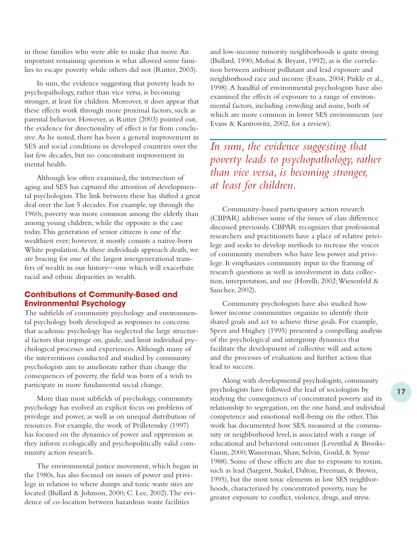in those families who were able to make that move.An important remaining question is what allowed some families to escape poverty while others did not (Rutter, 2003).

In sum, the evidence suggesting that poverty leads to psychopathology, rather than vice versa, is becoming stronger, at least for children. Moreover, it does appear that these effects work through more proximal factors, such as parental behavior. However, as Rutter (2003) pointed out, the evidence for directionality of effect is far from conclusive.As he noted, there has been a general improvement in SES and social conditions in developed countries over the last few decades, but no concomitant improvement in mental health.

Although less often examined, the intersection of aging and SES has captured the attention of developmental psychologists.The link between these has shifted a great deal over the last 5 decades. For example, up through the 1960s, poverty was more common among the elderly than among young children, while the opposite is the case today.This generation of senior citizens is one of the wealthiest ever; however, it mostly consists a native-born White population.As these individuals approach death, we are bracing for one of the largest intergenerational transfers of wealth in our history—one which will exacerbate racial and ethnic disparities in wealth.

#### **Contributions of Community-Based and Environmental Psychology**

The subfields of community psychology and environmental psychology both developed as responses to concerns that academic psychology has neglected the large structural factors that impinge on, guide, and limit individual psychological processes and experiences.Although many of the interventions conducted and studied by community psychologists aim to ameliorate rather than change the consequences of poverty, the field was born of a wish to participate in more fundamental social change.

More than most subfields of psychology, community psychology has evolved an explicit focus on problems of privilege and power, as well as on unequal distribution of resources. For example, the work of Prilletensky (1997) has focused on the dynamics of power and oppression as they inform ecologically and psychopolitically valid community action research.

The environmental justice movement, which began in the 1980s, has also focused on issues of power and privilege in relation to where dumps and toxic waste sites are located (Bullard & Johnson, 2000; C. Lee, 2002).The evidence of co-location between hazardous waste facilities

and low-income minority neighborhoods is quite strong (Bullard, 1990; Mohai & Bryant, 1992), as is the correlation between ambient pollutant and lead exposure and neighborhood race and income (Evans, 2004; Pirkle et al., 1998).A handful of environmental psychologists have also examined the effects of exposure to a range of environmental factors, including crowding and noise, both of which are more common in lower SES environments (see Evans & Kantrowitz, 2002, for a review).

*In sum, the evidence suggesting that poverty leads to psychopathology, rather than vice versa, is becoming stronger, at least for children.*

Community-based participatory action research (CBPAR) addresses some of the issues of class difference discussed previously. CBPAR recognizes that professional researchers and practitioners have a place of relative privilege and seeks to develop methods to increase the voices of community members who have less power and privilege. It emphasizes community input to the framing of research questions as well as involvement in data collection, interpretation, and use (Horelli, 2002; Wiesenfeld & Sanchez, 2002).

Community psychologists have also studied how lower income communities organize to identify their shared goals and act to achieve these goals. For example, Speer and Hughey (1995) presented a compelling analysis of the psychological and intergroup dynamics that facilitate the development of collective will and action and the processes of evaluation and further action that lead to success.

Along with developmental psychologists, community psychologists have followed the lead of sociologists by studying the consequences of concentrated poverty and its relationship to segregation, on the one hand, and individual competence and emotional well-being on the other.This work has documented how SES, measured at the community or neighborhood level, is associated with a range of educational and behavioral outcomes (Leventhal & Brooks-Gunn, 2000;Wasserman, Shaw, Selvin, Gould, & Syme 1988). Some of these effects are due to exposure to toxins, such as lead (Sargent, Stukel, Dalton, Freeman, & Brown, 1995), but the most toxic elements in low SES neighborhoods, characterized by concentrated poverty, may be greater exposure to conflict, violence, drugs, and stress.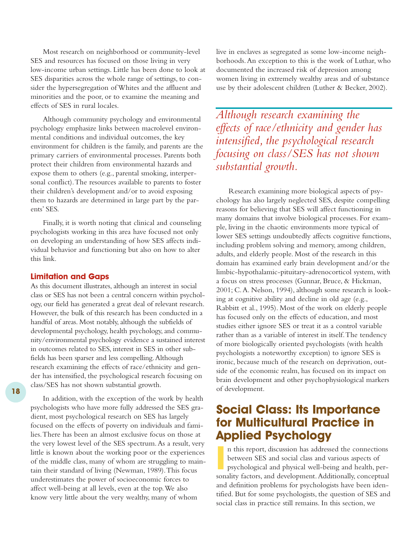Most research on neighborhood or community-level SES and resources has focused on those living in very low-income urban settings. Little has been done to look at SES disparities across the whole range of settings, to consider the hypersegregation of Whites and the affluent and minorities and the poor, or to examine the meaning and effects of SES in rural locales.

Although community psychology and environmental psychology emphasize links between macrolevel environmental conditions and individual outcomes, the key environment for children is the family, and parents are the primary carriers of environmental processes. Parents both protect their children from environmental hazards and expose them to others (e.g., parental smoking, interpersonal conflict).The resources available to parents to foster their children's development and/or to avoid exposing them to hazards are determined in large part by the parents' SES.

Finally, it is worth noting that clinical and counseling psychologists working in this area have focused not only on developing an understanding of how SES affects individual behavior and functioning but also on how to alter this link.

#### **Limitation and Gaps**

As this document illustrates, although an interest in social class or SES has not been a central concern within psychology, our field has generated a great deal of relevant research. However, the bulk of this research has been conducted in a handful of areas. Most notably, although the subfields of developmental psychology, health psychology, and community/environmental psychology evidence a sustained interest in outcomes related to SES, interest in SES in other subfields has been sparser and less compelling.Although research examining the effects of race/ethnicity and gender has intensified, the psychological research focusing on class/SES has not shown substantial growth.

**18**

In addition, with the exception of the work by health psychologists who have more fully addressed the SES gradient, most psychological research on SES has largely focused on the effects of poverty on individuals and families.There has been an almost exclusive focus on those at the very lowest level of the SES spectrum.As a result, very little is known about the working poor or the experiences of the middle class, many of whom are struggling to maintain their standard of living (Newman, 1989).This focus underestimates the power of socioeconomic forces to affect well-being at all levels, even at the top.We also know very little about the very wealthy, many of whom

live in enclaves as segregated as some low-income neighborhoods.An exception to this is the work of Luthar, who documented the increased risk of depression among women living in extremely wealthy areas and of substance use by their adolescent children (Luther & Becker, 2002).

*Although research examining the effects of race/ethnicity and gender has intensified, the psychological research focusing on class/SES has not shown substantial growth.*

Research examining more biological aspects of psychology has also largely neglected SES, despite compelling reasons for believing that SES will affect functioning in many domains that involve biological processes. For example, living in the chaotic environments more typical of lower SES settings undoubtedly affects cognitive functions, including problem solving and memory, among children, adults, and elderly people. Most of the research in this domain has examined early brain development and/or the limbic-hypothalamic-pituitary-adrenocorticol system, with a focus on stress processes (Gunnar, Bruce, & Hickman, 2001; C.A. Nelson, 1994), although some research is looking at cognitive ability and decline in old age (e.g., Rabbitt et al., 1995). Most of the work on elderly people has focused only on the effects of education, and most studies either ignore SES or treat it as a control variable rather than as a variable of interest in itself.The tendency of more biologically oriented psychologists (with health psychologists a noteworthy exception) to ignore SES is ironic, because much of the research on deprivation, outside of the economic realm, has focused on its impact on brain development and other psychophysiological markers of development.

# **Social Class: Its Importance for Multicultural Practice in Applied Psychology**

**I** n this report, discussion has addressed the connections between SES and social class and various aspects of psychological and physical well-being and health, personality factors, and development.Additionally, conceptual and definition problems for psychologists have been identified. But for some psychologists, the question of SES and social class in practice still remains. In this section, we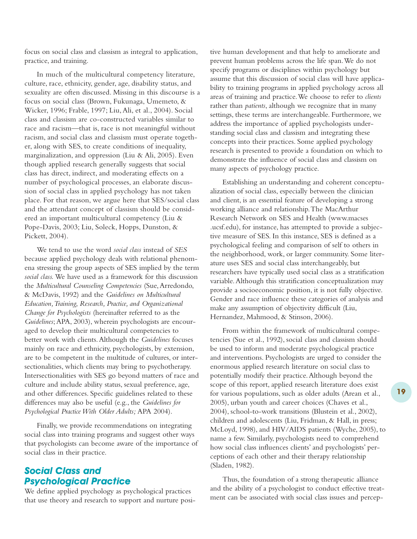focus on social class and classism as integral to application, practice, and training.

In much of the multicultural competency literature, culture, race, ethnicity, gender, age, disability status, and sexuality are often discussed. Missing in this discourse is a focus on social class (Brown, Fukunaga, Umemeto, & Wicker, 1996; Frable, 1997; Liu, Ali, et al., 2004). Social class and classism are co-constructed variables similar to race and racism—that is, race is not meaningful without racism, and social class and classism must operate together, along with SES, to create conditions of inequality, marginalization, and oppression (Liu & Ali, 2005). Even though applied research generally suggests that social class has direct, indirect, and moderating effects on a number of psychological processes, an elaborate discussion of social class in applied psychology has not taken place. For that reason, we argue here that SES/social class and the attendant concept of classism should be considered an important multicultural competency (Liu & Pope-Davis, 2003; Liu, Soleck, Hopps, Dunston, & Pickett, 2004).

We tend to use the word *social class* instead of *SES* because applied psychology deals with relational phenomena stressing the group aspects of SES implied by the term *social class.* We have used as a framework for this discussion the *Multicultural Counseling Competencies* (Sue,Arredondo, & McDavis, 1992) and the *Guidelines on Multicultural Education,Training, Research, Practice, and Organizational Change for Psychologists* (hereinafter referred to as the *Guidelines*;APA, 2003), wherein psychologists are encouraged to develop their multicultural competencies to better work with clients.Although the *Guidelines* focuses mainly on race and ethnicity, psychologists, by extension, are to be competent in the multitude of cultures, or intersectionalities, which clients may bring to psychotherapy. Intersectionalities with SES go beyond matters of race and culture and include ability status, sexual preference, age, and other differences. Specific guidelines related to these differences may also be useful (e.g., the *Guidelines for Psychological Practice With Older Adults;* APA 2004).

Finally, we provide recommendations on integrating social class into training programs and suggest other ways that psychologists can become aware of the importance of social class in their practice.

# *Social Class and Psychological Practice*

We define applied psychology as psychological practices that use theory and research to support and nurture positive human development and that help to ameliorate and prevent human problems across the life span.We do not specify programs or disciplines within psychology but assume that this discussion of social class will have applicability to training programs in applied psychology across all areas of training and practice.We choose to refer to *clients* rather than *patients*, although we recognize that in many settings, these terms are interchangeable. Furthermore, we address the importance of applied psychologists understanding social class and classism and integrating these concepts into their practices. Some applied psychology research is presented to provide a foundation on which to demonstrate the influence of social class and classism on many aspects of psychology practice.

Establishing an understanding and coherent conceptualization of social class, especially between the clinician and client, is an essential feature of developing a strong working alliance and relationship.The MacArthur Research Network on SES and Health (www.macses .ucsf.edu), for instance, has attempted to provide a subjective measure of SES. In this instance, SES is defined as a psychological feeling and comparison of self to others in the neighborhood, work, or larger community. Some literature uses SES and social class interchangeably, but researchers have typically used social class as a stratification variable.Although this stratification conceptualization may provide a socioeconomic position, it is not fully objective. Gender and race influence these categories of analysis and make any assumption of objectivity difficult (Liu, Hernandez, Mahmood, & Stinson, 2006).

From within the framework of multicultural competencies (Sue et al., 1992), social class and classism should be used to inform and moderate psychological practice and interventions. Psychologists are urged to consider the enormous applied research literature on social class to potentially modify their practice.Although beyond the scope of this report, applied research literature does exist for various populations, such as older adults (Arean et al., 2005), urban youth and career choices (Chaves et al., 2004), school-to-work transitions (Blustein et al., 2002), children and adolescents (Liu, Fridman, & Hall, in press; McLoyd, 1998), and HIV/AIDS patients (Wyche, 2005), to name a few. Similarly, psychologists need to comprehend how social class influences clients' and psychologists' perceptions of each other and their therapy relationship (Sladen, 1982).

Thus, the foundation of a strong therapeutic alliance and the ability of a psychologist to conduct effective treatment can be associated with social class issues and percep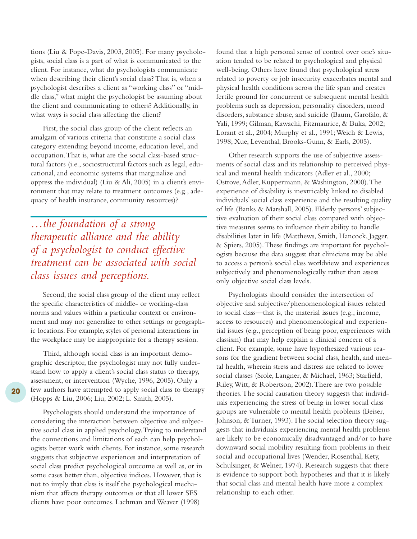tions (Liu & Pope-Davis, 2003, 2005). For many psychologists, social class is a part of what is communicated to the client. For instance, what do psychologists communicate when describing their client's social class? That is, when a psychologist describes a client as "working class" or "middle class," what might the psychologist be assuming about the client and communicating to others? Additionally, in what ways is social class affecting the client?

First, the social class group of the client reflects an amalgam of various criteria that constitute a social class category extending beyond income, education level, and occupation.That is, what are the social class-based structural factors (i.e., sociostructural factors such as legal, educational, and economic systems that marginalize and oppress the individual) (Liu & Ali, 2005) in a client's environment that may relate to treatment outcomes (e.g., adequacy of health insurance, community resources)?

*…the foundation of a strong therapeutic alliance and the ability of a psychologist to conduct effective treatment can be associated with social class issues and perceptions.*

Second, the social class group of the client may reflect the specific characteristics of middle- or working-class norms and values within a particular context or environment and may not generalize to other settings or geographic locations. For example, styles of personal interactions in the workplace may be inappropriate for a therapy session.

Third, although social class is an important demographic descriptor, the psychologist may not fully understand how to apply a client's social class status to therapy, assessment, or intervention (Wyche, 1996, 2005). Only a few authors have attempted to apply social class to therapy (Hopps & Liu, 2006; Liu, 2002; L. Smith, 2005).

Psychologists should understand the importance of considering the interaction between objective and subjective social class in applied psychology.Trying to understand the connections and limitations of each can help psychologists better work with clients. For instance, some research suggests that subjective experiences and interpretation of social class predict psychological outcome as well as, or in some cases better than, objective indices. However, that is not to imply that class is itself the psychological mechanism that affects therapy outcomes or that all lower SES clients have poor outcomes. Lachman and Weaver (1998)

found that a high personal sense of control over one's situation tended to be related to psychological and physical well-being. Others have found that psychological stress related to poverty or job insecurity exacerbates mental and physical health conditions across the life span and creates fertile ground for concurrent or subsequent mental health problems such as depression, personality disorders, mood disorders, substance abuse, and suicide (Baum, Garofalo, & Yali, 1999; Gilman, Kawachi, Fitzmaurice, & Buka, 2002; Lorant et al., 2004; Murphy et al., 1991;Weich & Lewis, 1998; Xue, Leventhal, Brooks-Gunn, & Earls, 2005).

Other research supports the use of subjective assessments of social class and its relationship to perceived physical and mental health indicators (Adler et al., 2000; Ostrove,Adler, Kuppermann, & Washington, 2000).The experience of disability is inextricably linked to disabled individuals' social class experience and the resulting quality of life (Banks & Marshall, 2005). Elderly persons' subjective evaluation of their social class compared with objective measures seems to influence their ability to handle disabilities later in life (Matthews, Smith, Hancock, Jagger, & Spiers, 2005).These findings are important for psychologists because the data suggest that clinicians may be able to access a person's social class worldview and experiences subjectively and phenomenologically rather than assess only objective social class levels.

Psychologists should consider the intersection of objective and subjective/phenomenological issues related to social class—that is, the material issues (e.g., income, access to resources) and phenomenological and experiential issues (e.g., perception of being poor, experiences with classism) that may help explain a clinical concern of a client. For example, some have hypothesized various reasons for the gradient between social class, health, and mental health, wherein stress and distress are related to lower social classes (Srole, Langner, & Michael, 1963; Starfield, Riley,Witt, & Robertson, 2002).There are two possible theories.The social causation theory suggests that individuals experiencing the stress of being in lower social class groups are vulnerable to mental health problems (Beiser, Johnson, & Turner, 1993). The social selection theory suggests that individuals experiencing mental health problems are likely to be economically disadvantaged and/or to have downward social mobility resulting from problems in their social and occupational lives (Wender, Rosenthal, Kety, Schulsinger, & Welner, 1974). Research suggests that there is evidence to support both hypotheses and that it is likely that social class and mental health have more a complex relationship to each other.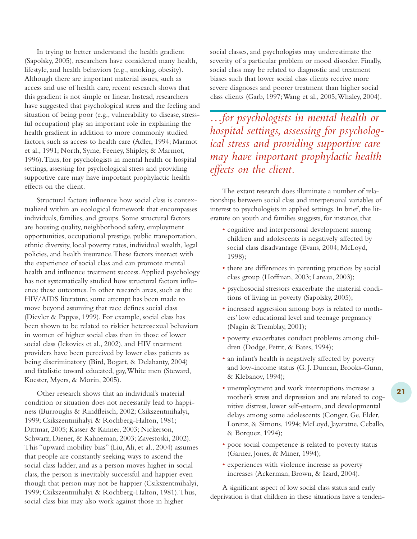In trying to better understand the health gradient (Sapolsky, 2005), researchers have considered many health, lifestyle, and health behaviors (e.g., smoking, obesity). Although there are important material issues, such as access and use of health care, recent research shows that this gradient is not simple or linear. Instead, researchers have suggested that psychological stress and the feeling and situation of being poor (e.g., vulnerability to disease, stressful occupation) play an important role in explaining the health gradient in addition to more commonly studied factors, such as access to health care (Adler, 1994; Marmot et al., 1991; North, Syme, Feeney, Shipley, & Marmot, 1996).Thus, for psychologists in mental health or hospital settings, assessing for psychological stress and providing supportive care may have important prophylactic health effects on the client.

Structural factors influence how social class is contextualized within an ecological framework that encompasses individuals, families, and groups. Some structural factors are housing quality, neighborhood safety, employment opportunities, occupational prestige, public transportation, ethnic diversity, local poverty rates, individual wealth, legal policies, and health insurance.These factors interact with the experience of social class and can promote mental health and influence treatment success.Applied psychology has not systematically studied how structural factors influence these outcomes. In other research areas, such as the HIV/AIDS literature, some attempt has been made to move beyond assuming that race defines social class (Dievler & Pappas, 1999). For example, social class has been shown to be related to riskier heterosexual behaviors in women of higher social class than in those of lower social class (Ickovics et al., 2002), and HIV treatment providers have been perceived by lower class patients as being discriminatory (Bird, Bogart, & Delahanty, 2004) and fatalistic toward educated, gay,White men (Steward, Koester, Myers, & Morin, 2005).

Other research shows that an individual's material condition or situation does not necessarily lead to happiness (Burroughs & Rindfleisch, 2002; Csikszentmihalyi, 1999; Csikszentmihalyi & Rochberg-Halton, 1981; Dittmar, 2005; Kasser & Kanner, 2003; Nickerson, Schwarz, Diener, & Kahneman, 2003; Zavestoski, 2002). This "upward mobility bias" (Liu,Ali, et al., 2004) assumes that people are constantly seeking ways to ascend the social class ladder, and as a person moves higher in social class, the person is inevitably successful and happier even though that person may not be happier (Csikszentmihalyi, 1999; Csikszentmihalyi & Rochberg-Halton, 1981).Thus, social class bias may also work against those in higher

social classes, and psychologists may underestimate the severity of a particular problem or mood disorder. Finally, social class may be related to diagnostic and treatment biases such that lower social class clients receive more severe diagnoses and poorer treatment than higher social class clients (Garb, 1997;Wang et al., 2005;Whaley, 2004).

*…for psychologists in mental health or hospital settings, assessing for psychological stress and providing supportive care may have important prophylactic health effects on the client.*

The extant research does illuminate a number of relationships between social class and interpersonal variables of interest to psychologists in applied settings. In brief, the literature on youth and families suggests, for instance, that

- cognitive and interpersonal development among children and adolescents is negatively affected by social class disadvantage (Evans, 2004; McLoyd, 1998);
- there are differences in parenting practices by social class group (Hoffman, 2003; Lareau, 2003);
- psychosocial stressors exacerbate the material conditions of living in poverty (Sapolsky, 2005);
- increased aggression among boys is related to mothers' low educational level and teenage pregnancy (Nagin & Tremblay, 2001);
- poverty exacerbates conduct problems among children (Dodge, Pettit, & Bates, 1994);
- an infant's health is negatively affected by poverty and low-income status (G. J. Duncan, Brooks-Gunn, & Klebanov, 1994);
- unemployment and work interruptions increase a mother's stress and depression and are related to cognitive distress, lower self-esteem, and developmental delays among some adolescents (Conger, Ge, Elder, Lorenz, & Simons, 1994; McLoyd, Jayaratne, Ceballo, & Borquez, 1994);
- poor social competence is related to poverty status (Garner, Jones, & Miner, 1994);
- experiences with violence increase as poverty increases (Ackerman, Brown, & Izard, 2004).

A significant aspect of low social class status and early deprivation is that children in these situations have a tenden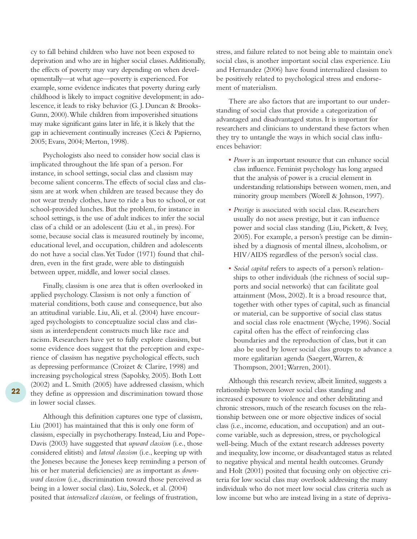cy to fall behind children who have not been exposed to deprivation and who are in higher social classes.Additionally, the effects of poverty may vary depending on when developmentally—at what age—poverty is experienced. For example, some evidence indicates that poverty during early childhood is likely to impact cognitive development; in adolescence, it leads to risky behavior (G. J. Duncan & Brooks-Gunn, 2000).While children from impoverished situations may make significant gains later in life, it is likely that the gap in achievement continually increases (Ceci & Papierno, 2005; Evans, 2004; Merton, 1998).

Psychologists also need to consider how social class is implicated throughout the life span of a person. For instance, in school settings, social class and classism may become salient concerns.The effects of social class and classism are at work when children are teased because they do not wear trendy clothes, have to ride a bus to school, or eat school-provided lunches. But the problem, for instance in school settings, is the use of adult indices to infer the social class of a child or an adolescent (Liu et al., in press). For some, because social class is measured routinely by income, educational level, and occupation, children and adolescents do not have a social class.Yet Tudor (1971) found that children, even in the first grade, were able to distinguish between upper, middle, and lower social classes.

Finally, classism is one area that is often overlooked in applied psychology. Classism is not only a function of material conditions, both cause and consequence, but also an attitudinal variable. Liu,Ali, et al. (2004) have encouraged psychologists to conceptualize social class and classism as interdependent constructs much like race and racism. Researchers have yet to fully explore classism, but some evidence does suggest that the perception and experience of classism has negative psychological effects, such as depressing performance (Croizet & Clarire, 1998) and increasing psychological stress (Sapolsky, 2005). Both Lott (2002) and L. Smith (2005) have addressed classism, which they define as oppression and discrimination toward those in lower social classes.

Although this definition captures one type of classism, Liu (2001) has maintained that this is only one form of classism, especially in psychotherapy. Instead, Liu and Pope-Davis (2003) have suggested that *upward classism* (i.e., those considered elitists) and *lateral classism* (i.e., keeping up with the Joneses because the Joneses keep reminding a person of his or her material deficiencies) are as important as *downward classism* (i.e., discrimination toward those perceived as being in a lower social class). Liu, Soleck, et al. (2004) posited that *internalized classism,* or feelings of frustration,

stress, and failure related to not being able to maintain one's social class, is another important social class experience. Liu and Hernandez (2006) have found internalized classism to be positively related to psychological stress and endorsement of materialism.

There are also factors that are important to our understanding of social class that provide a categorization of advantaged and disadvantaged status. It is important for researchers and clinicians to understand these factors when they try to untangle the ways in which social class influences behavior:

- *Power* is an important resource that can enhance social class influence. Feminist psychology has long argued that the analysis of power is a crucial element in understanding relationships between women, men, and minority group members (Worell & Johnson, 1997).
- *Prestige* is associated with social class. Researchers usually do not assess prestige, but it can influence power and social class standing (Liu, Pickett, & Ivey, 2005). For example, a person's prestige can be diminished by a diagnosis of mental illness, alcoholism, or HIV/AIDS regardless of the person's social class.
- *Social capital* refers to aspects of a person's relationships to other individuals (the richness of social supports and social networks) that can facilitate goal attainment (Moss, 2002). It is a broad resource that, together with other types of capital, such as financial or material, can be supportive of social class status and social class role enactment (Wyche, 1996). Social capital often has the effect of reinforcing class boundaries and the reproduction of class, but it can also be used by lower social class groups to advance a more egalitarian agenda (Saegert,Warren, & Thompson, 2001;Warren, 2001).

Although this research review, albeit limited, suggests a relationship between lower social class standing and increased exposure to violence and other debilitating and chronic stressors, much of the research focuses on the relationship between one or more objective indices of social class (i.e., income, education, and occupation) and an outcome variable, such as depression, stress, or psychological well-being. Much of the extant research addresses poverty and inequality, low income, or disadvantaged status as related to negative physical and mental health outcomes. Grundy and Holt (2001) posited that focusing only on objective criteria for low social class may overlook addressing the many individuals who do not meet low social class criteria such as low income but who are instead living in a state of depriva-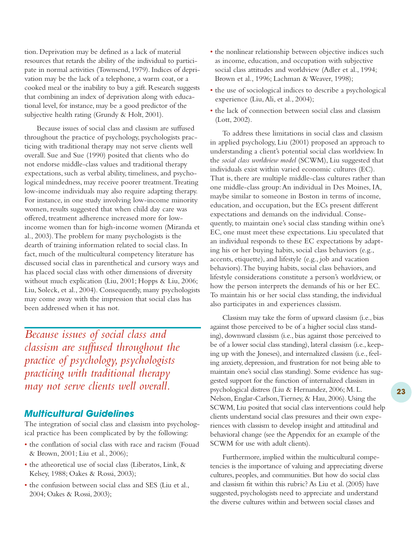tion. Deprivation may be defined as a lack of material resources that retards the ability of the individual to participate in normal activities (Townsend, 1979). Indices of deprivation may be the lack of a telephone, a warm coat, or a cooked meal or the inability to buy a gift. Research suggests that combining an index of deprivation along with educational level, for instance, may be a good predictor of the subjective health rating (Grundy & Holt, 2001).

Because issues of social class and classism are suffused throughout the practice of psychology, psychologists practicing with traditional therapy may not serve clients well overall. Sue and Sue (1990) posited that clients who do not endorse middle-class values and traditional therapy expectations, such as verbal ability, timeliness, and psychological mindedness, may receive poorer treatment.Treating low-income individuals may also require adapting therapy. For instance, in one study involving low-income minority women, results suggested that when child day care was offered, treatment adherence increased more for lowincome women than for high-income women (Miranda et al., 2003).The problem for many psychologists is the dearth of training information related to social class. In fact, much of the multicultural competency literature has discussed social class in parenthetical and cursory ways and has placed social class with other dimensions of diversity without much explication (Liu, 2001; Hopps & Liu, 2006; Liu, Soleck, et al., 2004). Consequently, many psychologists may come away with the impression that social class has been addressed when it has not.

*Because issues of social class and classism are suffused throughout the practice of psychology, psychologists practicing with traditional therapy may not serve clients well overall.*

### *Multicultural Guidelines*

The integration of social class and classism into psychological practice has been complicated by by the following:

- the conflation of social class with race and racism (Fouad & Brown, 2001; Liu et al., 2006);
- the atheoretical use of social class (Liberatos, Link, & Kelsey, 1988; Oakes & Rossi, 2003);
- the confusion between social class and SES (Liu et al., 2004; Oakes & Rossi, 2003);
- the nonlinear relationship between objective indices such as income, education, and occupation with subjective social class attitudes and worldview (Adler et al., 1994; Brown et al., 1996; Lachman & Weaver, 1998);
- the use of sociological indices to describe a psychological experience (Liu,Ali, et al., 2004);
- the lack of connection between social class and classism (Lott, 2002).

To address these limitations in social class and classism in applied psychology, Liu (2001) proposed an approach to understanding a client's potential social class worldview. In the *social class worldview model* (SCWM), Liu suggested that individuals exist within varied economic cultures (EC). That is, there are multiple middle-class cultures rather than one middle-class group:An individual in Des Moines, IA, maybe similar to someone in Boston in terms of income, education, and occupation, but the ECs present different expectations and demands on the individual. Consequently, to maintain one's social class standing within one's EC, one must meet these expectations. Liu speculated that an individual responds to these EC expectations by adapting his or her buying habits, social class behaviors (e.g., accents, etiquette), and lifestyle (e.g., job and vacation behaviors).The buying habits, social class behaviors, and lifestyle considerations constitute a person's worldview, or how the person interprets the demands of his or her EC. To maintain his or her social class standing, the individual also participates in and experiences classism.

Classism may take the form of upward classism (i.e., bias against those perceived to be of a higher social class standing), downward classism (i.e., bias against those perceived to be of a lower social class standing), lateral classism (i.e., keeping up with the Joneses), and internalized classism (i.e., feeling anxiety, depression, and frustration for not being able to maintain one's social class standing). Some evidence has suggested support for the function of internalized classism in psychological distress (Liu & Hernandez, 2006; M. L. Nelson, Englar-Carlson,Tierney, & Hau, 2006). Using the SCWM, Liu posited that social class interventions could help clients understand social class pressures and their own experiences with classism to develop insight and attitudinal and behavioral change (see the Appendix for an example of the SCWM for use with adult clients).

Furthermore, implied within the multicultural competencies is the importance of valuing and appreciating diverse cultures, peoples, and communities. But how do social class and classism fit within this rubric? As Liu et al. (2005) have suggested, psychologists need to appreciate and understand the diverse cultures within and between social classes and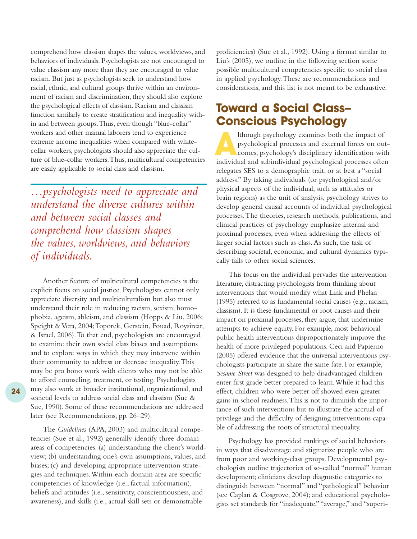comprehend how classism shapes the values, worldviews, and behaviors of individuals. Psychologists are not encouraged to value classism any more than they are encouraged to value racism. But just as psychologists seek to understand how racial, ethnic, and cultural groups thrive within an environment of racism and discrimination, they should also explore the psychological effects of classism. Racism and classism function similarly to create stratification and inequality within and between groups.Thus, even though "blue-collar" workers and other manual laborers tend to experience extreme income inequalities when compared with whitecollar workers, psychologists should also appreciate the culture of blue-collar workers.Thus, multicultural competencies are easily applicable to social class and classism.

*…psychologists need to appreciate and understand the diverse cultures within and between social classes and comprehend how classism shapes the values, worldviews, and behaviors of individuals.*

Another feature of multicultural competencies is the explicit focus on social justice. Psychologists cannot only appreciate diversity and multiculturalism but also must understand their role in reducing racism, sexism, homophobia, ageism, ableism, and classism (Hopps & Liu, 2006; Speight & Vera, 2004;Toporek, Gerstein, Fouad, Roysircar, & Israel, 2006).To that end, psychologists are encouraged to examine their own social class biases and assumptions and to explore ways in which they may intervene within their community to address or decrease inequality.This may be pro bono work with clients who may not be able to afford counseling, treatment, or testing. Psychologists may also work at broader institutional, organizational, and societal levels to address social class and classism (Sue & Sue, 1990). Some of these recommendations are addressed later (see Recommendations, pp. 26–29).

The *Guidelines* (APA, 2003) and multicultural competencies (Sue et al., 1992) generally identify three domain areas of competencies: (a) understanding the client's worldview; (b) understanding one's own assumptions, values, and biases; (c) and developing appropriate intervention strategies and techniques.Within each domain area are specific competencies of knowledge (i.e., factual information), beliefs and attitudes (i.e., sensitivity, conscientiousness, and awareness), and skills (i.e., actual skill sets or demonstrable

proficiencies) (Sue et al., 1992). Using a format similar to Liu's (2005), we outline in the following section some possible multicultural competencies specific to social class in applied psychology.These are recommendations and considerations, and this list is not meant to be exhaustive.

# **Toward a Social Class– Conscious Psychology**

Ithough psychology examines both the impact of<br>psychological processes and external forces on ou<br>comes, psychology's disciplinary identification wi psychological processes and external forces on outcomes, psychology's disciplinary identification with individual and subindividual psychological processes often relegates SES to a demographic trait, or at best a "social address." By taking individuals (or psychological and/or physical aspects of the individual, such as attitudes or brain regions) as the unit of analysis, psychology strives to develop general causal accounts of individual psychological processes.The theories, research methods, publications, and clinical practices of psychology emphasize internal and proximal processes, even when addressing the effects of larger social factors such as class.As such, the task of describing societal, economic, and cultural dynamics typically falls to other social sciences.

This focus on the individual pervades the intervention literature, distracting psychologists from thinking about interventions that would modify what Link and Phelan (1995) referred to as fundamental social causes (e.g., racism, classism). It is these fundamental or root causes and their impact on proximal processes, they argue, that undermine attempts to achieve equity. For example, most behavioral public health interventions disproportionately improve the health of more privileged populations. Ceci and Papierno (2005) offered evidence that the universal interventions psychologists participate in share the same fate. For example, *Sesame Street* was designed to help disadvantaged children enter first grade better prepared to learn.While it had this effect, children who were better off showed even greater gains in school readiness.This is not to diminish the importance of such interventions but to illustrate the accrual of privilege and the difficulty of designing interventions capable of addressing the roots of structural inequality.

Psychology has provided rankings of social behaviors in ways that disadvantage and stigmatize people who are from poor and working-class groups. Developmental psychologists outline trajectories of so-called "normal" human development; clinicians develop diagnostic categories to distinguish between "normal" and "pathological" behavior (see Caplan & Cosgrove, 2004); and educational psychologists set standards for "inadequate,""average," and "superi-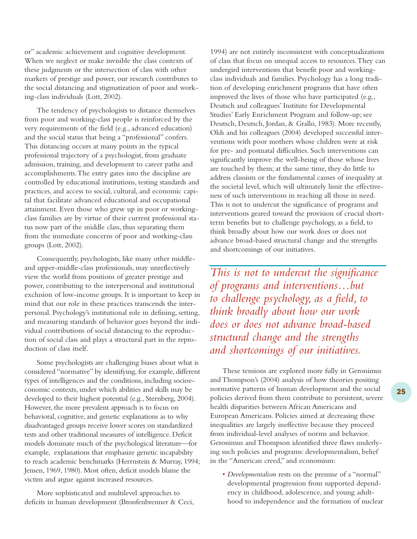or" academic achievement and cognitive development. When we neglect or make invisible the class contexts of these judgments or the intersection of class with other markers of prestige and power, our research contributes to the social distancing and stigmatization of poor and working-class individuals (Lott, 2002).

The tendency of psychologists to distance themselves from poor and working-class people is reinforced by the very requirements of the field (e.g., advanced education) and the social status that being a "professional" confers. This distancing occurs at many points in the typical professional trajectory of a psychologist, from graduate admission, training, and development to career paths and accomplishments.The entry gates into the discipline are controlled by educational institutions, testing standards and practices, and access to social, cultural, and economic capital that facilitate advanced educational and occupational attainment. Even those who grew up in poor or workingclass families are by virtue of their current professional status now part of the middle class, thus separating them from the immediate concerns of poor and working-class groups (Lott, 2002).

Consequently, psychologists, like many other middleand upper-middle-class professionals, may unreflectively view the world from positions of greater prestige and power, contributing to the interpersonal and institutional exclusion of low-income groups. It is important to keep in mind that our role in these practices transcends the interpersonal. Psychology's institutional role in defining, setting, and measuring standards of behavior goes beyond the individual contributions of social distancing to the reproduction of social class and plays a structural part in the reproduction of class itself.

Some psychologists are challenging biases about what is considered "normative" by identifying, for example, different types of intelligences and the conditions, including socioeconomic contexts, under which abilities and skills may be developed to their highest potential (e.g., Sternberg, 2004). However, the more prevalent approach is to focus on behavioral, cognitive, and genetic explanations as to why disadvantaged groups receive lower scores on standardized tests and other traditional measures of intelligence. Deficit models dominate much of the psychological literature—for example, explanations that emphasize genetic incapability to reach academic benchmarks (Herrnstein & Murray, 1994; Jensen, 1969, 1980). Most often, deficit models blame the victim and argue against increased resources.

More sophisticated and multilevel approaches to deficits in human development (Bronfenbrenner & Ceci, 1994) are not entirely inconsistent with conceptualizations of class that focus on unequal access to resources.They can undergird interventions that benefit poor and workingclass individuals and families. Psychology has a long tradition of developing enrichment programs that have often improved the lives of those who have participated (e.g., Deutsch and colleagues' Institute for Developmental Studies' Early Enrichment Program and follow-up; see Deutsch, Deutsch, Jordan, & Grallo, 1983). More recently, Olds and his colleagues (2004) developed successful interventions with poor mothers whose children were at risk for pre- and postnatal difficulties. Such interventions can significantly improve the well-being of those whose lives are touched by them; at the same time, they do little to address classism or the fundamental causes of inequality at the societal level, which will ultimately limit the effectiveness of such interventions in reaching all those in need. This is not to undercut the significance of programs and interventions geared toward the provision of crucial shortterm benefits but to challenge psychology, as a field, to think broadly about how our work does or does not advance broad-based structural change and the strengths and shortcomings of our initiatives.

*This is not to undercut the significance of programs and interventions…but to challenge psychology, as a field, to think broadly about how our work does or does not advance broad-based structural change and the strengths and shortcomings of our initiatives.*

These tensions are explored more fully in Geronimus and Thompson's (2004) analysis of how theories positing normative patterns of human development and the social policies derived from them contribute to persistent, severe health disparities between African Americans and European Americans. Policies aimed at decreasing these inequalities are largely ineffective because they proceed from individual-level analyses of norms and behavior. Geronimus and Thompson identified three flaws underlying such policies and programs: developmentalism, belief in the "American creed," and economism:

• *Developmentalism* rests on the premise of a "normal" developmental progression from supported dependency in childhood, adolescence, and young adulthood to independence and the formation of nuclear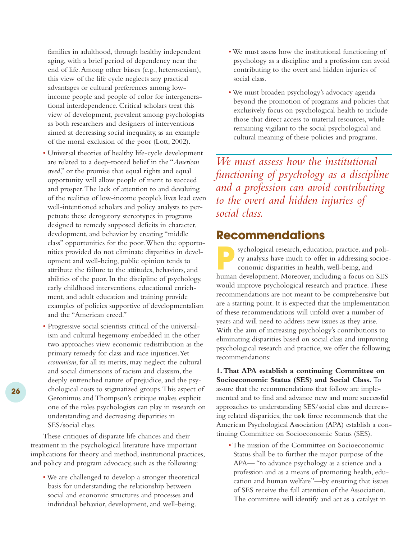families in adulthood, through healthy independent aging, with a brief period of dependency near the end of life.Among other biases (e.g., heterosexism), this view of the life cycle neglects any practical advantages or cultural preferences among lowincome people and people of color for intergenerational interdependence. Critical scholars treat this view of development, prevalent among psychologists as both researchers and designers of interventions aimed at decreasing social inequality, as an example of the moral exclusion of the poor (Lott, 2002).

- Universal theories of healthy life-cycle development are related to a deep-rooted belief in the "*American creed*," or the promise that equal rights and equal opportunity will allow people of merit to succeed and prosper.The lack of attention to and devaluing of the realities of low-income people's lives lead even well-intentioned scholars and policy analysts to perpetuate these derogatory stereotypes in programs designed to remedy supposed deficits in character, development, and behavior by creating "middle class" opportunities for the poor.When the opportunities provided do not eliminate disparities in development and well-being, public opinion tends to attribute the failure to the attitudes, behaviors, and abilities of the poor. In the discipline of psychology, early childhood interventions, educational enrichment, and adult education and training provide examples of policies supportive of developmentalism and the "American creed."
- Progressive social scientists critical of the universalism and cultural hegemony embedded in the other two approaches view economic redistribution as the primary remedy for class and race injustices.Yet *economism*, for all its merits, may neglect the cultural and social dimensions of racism and classism, the deeply entrenched nature of prejudice, and the psychological costs to stigmatized groups.This aspect of Geronimus and Thompson's critique makes explicit one of the roles psychologists can play in research on understanding and decreasing disparities in SES/social class.

These critiques of disparate life chances and their treatment in the psychological literature have important implications for theory and method, institutional practices, and policy and program advocacy, such as the following:

• We are challenged to develop a stronger theoretical basis for understanding the relationship between social and economic structures and processes and individual behavior, development, and well-being.

- We must assess how the institutional functioning of psychology as a discipline and a profession can avoid contributing to the overt and hidden injuries of social class.
- We must broaden psychology's advocacy agenda beyond the promotion of programs and policies that exclusively focus on psychological health to include those that direct access to material resources, while remaining vigilant to the social psychological and cultural meaning of these policies and programs.

*We must assess how the institutional functioning of psychology as a discipline and a profession can avoid contributing to the overt and hidden injuries of social class.*

# **Recommendations**

sychological research, education, practice, and policy analysis have much to offer in addressing socioeconomic disparities in health, well-being, and human development. Moreover, including a focus on SES would improve psychological research and practice.These recommendations are not meant to be comprehensive but are a starting point. It is expected that the implementation of these recommendations will unfold over a number of years and will need to address new issues as they arise. With the aim of increasing psychology's contributions to eliminating disparities based on social class and improving psychological research and practice, we offer the following recommendations:

**1.That APA establish a continuing Committee on Socioeconomic Status (SES) and Social Class.** To assure that the recommendations that follow are implemented and to find and advance new and more successful approaches to understanding SES/social class and decreasing related disparities, the task force recommends that the American Psychological Association (APA) establish a continuing Committee on Socioeconomic Status (SES).

• The mission of the Committee on Socioeconomic Status shall be to further the major purpose of the APA— "to advance psychology as a science and a profession and as a means of promoting health, education and human welfare"—by ensuring that issues of SES receive the full attention of the Association. The committee will identify and act as a catalyst in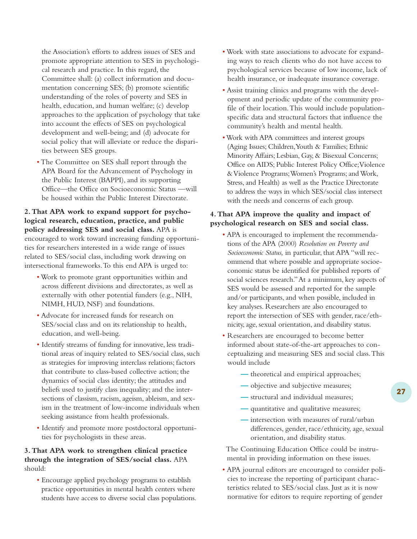the Association's efforts to address issues of SES and promote appropriate attention to SES in psychological research and practice. In this regard, the Committee shall: (a) collect information and documentation concerning SES; (b) promote scientific understanding of the roles of poverty and SES in health, education, and human welfare; (c) develop approaches to the application of psychology that take into account the effects of SES on psychological development and well-being; and (d) advocate for social policy that will alleviate or reduce the disparities between SES groups.

• The Committee on SES shall report through the APA Board for the Advancement of Psychology in the Public Interest (BAPPI), and its supporting Office—the Office on Socioeconomic Status —will be housed within the Public Interest Directorate.

### **2.That APA work to expand support for psychological research, education, practice, and public policy addressing SES and social class.** APA is encouraged to work toward increasing funding opportuni-

ties for researchers interested in a wide range of issues related to SES/social class, including work drawing on intersectional frameworks.To this end APA is urged to:

- Work to promote grant opportunities within and across different divisions and directorates, as well as externally with other potential funders (e.g., NIH, NIMH, HUD, NSF) and foundations.
- Advocate for increased funds for research on SES/social class and on its relationship to health, education, and well-being.
- Identify streams of funding for innovative, less traditional areas of inquiry related to SES/social class, such as strategies for improving interclass relations; factors that contribute to class-based collective action; the dynamics of social class identity; the attitudes and beliefs used to justify class inequality; and the intersections of classism, racism, ageism, ableism, and sexism in the treatment of low-income individuals when seeking assistance from health professionals.
- Identify and promote more postdoctoral opportunities for psychologists in these areas.

#### **3.That APA work to strengthen clinical practice through the integration of SES/social class.** APA should:

• Encourage applied psychology programs to establish practice opportunities in mental health centers where students have access to diverse social class populations.

- Work with state associations to advocate for expanding ways to reach clients who do not have access to psychological services because of low income, lack of health insurance, or inadequate insurance coverage.
- Assist training clinics and programs with the development and periodic update of the community profile of their location.This would include populationspecific data and structural factors that influence the community's health and mental health.
- •Work with APA committees and interest groups (Aging Issues; Children,Youth & Families; Ethnic Minority Affairs; Lesbian, Gay, & Bisexual Concerns; Office on AIDS; Public Interest Policy Office;Violence &Violence Programs;Women's Programs; and Work, Stress, and Health) as well as the Practice Directorate to address the ways in which SES/social class intersect with the needs and concerns of each group.

#### **4.That APA improve the quality and impact of psychological research on SES and social class.**

- APA is encouraged to implement the recommendations of the APA (2000) *Resolution on Poverty and Socioeconomic Status,* in particular, that APA "will recommend that where possible and appropriate socioeconomic status be identified for published reports of social sciences research."At a minimum, key aspects of SES would be assessed and reported for the sample and/or participants, and when possible, included in key analyses. Researchers are also encouraged to report the intersection of SES with gender, race/ethnicity, age, sexual orientation, and disability status.
- Researchers are encouraged to become better informed about state-of-the-art approaches to conceptualizing and measuring SES and social class.This would include
	- **—** theoretical and empirical approaches;
	- **—** objective and subjective measures;
	- **—** structural and individual measures;
	- **—** quantitative and qualitative measures;
	- **—** intersection with measures of rural/urban differences, gender, race/ethnicity, age, sexual orientation, and disability status.

The Continuing Education Office could be instrumental in providing information on these issues.

• APA journal editors are encouraged to consider policies to increase the reporting of participant characteristics related to SES/social class. Just as it is now normative for editors to require reporting of gender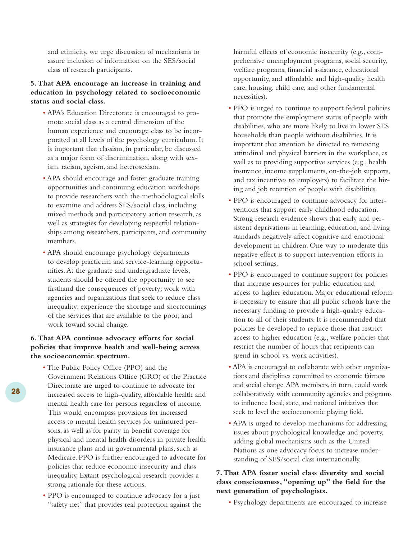and ethnicity, we urge discussion of mechanisms to assure inclusion of information on the SES/social class of research participants.

#### **5.That APA encourage an increase in training and education in psychology related to socioeconomic status and social class.**

- APA's Education Directorate is encouraged to promote social class as a central dimension of the human experience and encourage class to be incorporated at all levels of the psychology curriculum. It is important that classism, in particular, be discussed as a major form of discrimination, along with sexism, racism, ageism, and heterosexism.
- APA should encourage and foster graduate training opportunities and continuing education workshops to provide researchers with the methodological skills to examine and address SES/social class, including mixed methods and participatory action research, as well as strategies for developing respectful relationships among researchers, participants, and community members.
- APA should encourage psychology departments to develop practicum and service-learning opportunities.At the graduate and undergraduate levels, students should be offered the opportunity to see firsthand the consequences of poverty; work with agencies and organizations that seek to reduce class inequality; experience the shortage and shortcomings of the services that are available to the poor; and work toward social change.

#### **6.That APA continue advocacy efforts for social policies that improve health and well-being across the socioeconomic spectrum.**

- The Public Policy Office (PPO) and the Government Relations Office (GRO) of the Practice Directorate are urged to continue to advocate for increased access to high-quality, affordable health and mental health care for persons regardless of income. This would encompass provisions for increased access to mental health services for uninsured persons, as well as for parity in benefit coverage for physical and mental health disorders in private health insurance plans and in governmental plans, such as Medicare. PPO is further encouraged to advocate for policies that reduce economic insecurity and class inequality. Extant psychological research provides a strong rationale for these actions.
- PPO is encouraged to continue advocacy for a just "safety net" that provides real protection against the

harmful effects of economic insecurity (e.g., comprehensive unemployment programs, social security, welfare programs, financial assistance, educational opportunity, and affordable and high-quality health care, housing, child care, and other fundamental necessities).

- PPO is urged to continue to support federal policies that promote the employment status of people with disabilities, who are more likely to live in lower SES households than people without disabilities. It is important that attention be directed to removing attitudinal and physical barriers in the workplace, as well as to providing supportive services (e.g., health insurance, income supplements, on-the-job supports, and tax incentives to employers) to facilitate the hiring and job retention of people with disabilities.
- PPO is encouraged to continue advocacy for interventions that support early childhood education. Strong research evidence shows that early and persistent deprivations in learning, education, and living standards negatively affect cognitive and emotional development in children. One way to moderate this negative effect is to support intervention efforts in school settings.
- PPO is encouraged to continue support for policies that increase resources for public education and access to higher education. Major educational reform is necessary to ensure that all public schools have the necessary funding to provide a high-quality education to all of their students. It is recommended that policies be developed to replace those that restrict access to higher education (e.g., welfare policies that restrict the number of hours that recipients can spend in school vs. work activities).
- APA is encouraged to collaborate with other organizations and disciplines committed to economic fairness and social change.APA members, in turn, could work collaboratively with community agencies and programs to influence local, state, and national initiatives that seek to level the socioeconomic playing field.
- APA is urged to develop mechanisms for addressing issues about psychological knowledge and poverty, adding global mechanisms such as the United Nations as one advocacy focus to increase understanding of SES/social class internationally.

#### **7.That APA foster social class diversity and social class consciousness,"opening up" the field for the next generation of psychologists.**

• Psychology departments are encouraged to increase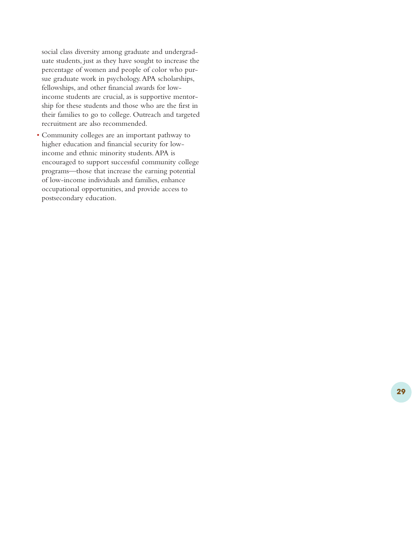social class diversity among graduate and undergraduate students, just as they have sought to increase the percentage of women and people of color who pursue graduate work in psychology.APA scholarships, fellowships, and other financial awards for lowincome students are crucial, as is supportive mentorship for these students and those who are the first in their families to go to college. Outreach and targeted recruitment are also recommended.

• Community colleges are an important pathway to higher education and financial security for lowincome and ethnic minority students.APA is encouraged to support successful community college programs—those that increase the earning potential of low-income individuals and families, enhance occupational opportunities, and provide access to postsecondary education.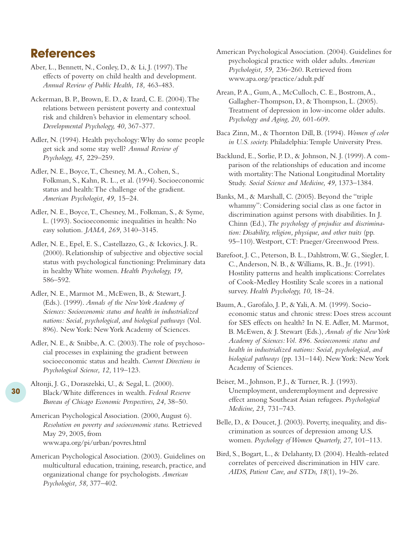# **References**

- Aber, L., Bennett, N., Conley, D., & Li, J. (1997).The effects of poverty on child health and development. *Annual Review of Public Health, 18,* 463-483.
- Ackerman, B. P., Brown, E. D., & Izard, C. E. (2004).The relations between persistent poverty and contextual risk and children's behavior in elementary school. *Developmental Psychology, 40,* 367-377.
- Adler, N. (1994). Health psychology:Why do some people get sick and some stay well? *Annual Review of Psychology, 45,* 229–259.
- Adler, N. E., Boyce,T., Chesney, M.A., Cohen, S., Folkman, S., Kahn, R. L., et al. (1994). Socioeconomic status and health:The challenge of the gradient. *American Psychologist, 49,* 15–24.
- Adler, N. E., Boyce,T., Chesney, M., Folkman, S., & Syme, L. (1993). Socioeconomic inequalities in health: No easy solution. *JAMA, 269,* 3140–3145.
- Adler, N. E., Epel, E. S., Castellazzo, G., & Ickovics, J. R. (2000). Relationship of subjective and objective social status with psychological functioning: Preliminary data in healthy White women. *Health Psychology, 19,* 586–592.
- Adler, N. E., Marmot M., McEwen, B., & Stewart, J. (Eds.). (1999). *Annals of the New York Academy of Sciences: Socioeconomic status and health in industrialized nations: Social, psychological, and biological pathways* (Vol. 896). New York: New York Academy of Sciences.
- Adler, N. E., & Snibbe, A. C. (2003). The role of psychosocial processes in explaining the gradient between socioeconomic status and health. *Current Directions in Psychological Science, 12,* 119–123.
- Altonji, J. G., Doraszelski, U., & Segal, L. (2000). Black/White differences in wealth. *Federal Reserve Bureau of Chicago Economic Perspectives, 24,* 38–50.

**30**

- American Psychological Association. (2000, August 6). *Resolution on poverty and socioeconomic status.* Retrieved May 29, 2005, from www.apa.org/pi/urban/povres.html
- American Psychological Association. (2003). Guidelines on multicultural education, training, research, practice, and organizational change for psychologists. *American Psychologist, 58,* 377–402.
- American Psychological Association. (2004). Guidelines for psychological practice with older adults. *American Psychologist, 59,* 236–260. Retrieved from www.apa.org/practice/adult.pdf
- Arean, P.A., Gum,A., McCulloch, C. E., Bostrom,A., Gallagher-Thompson, D., & Thompson, L. (2005). Treatment of depression in low-income older adults. *Psychology and Aging, 20,* 601-609.
- Baca Zinn, M., & Thornton Dill, B. (1994). *Women of color in U.S. society.* Philadelphia:Temple University Press.
- Backlund, E., Sorlie, P. D., & Johnson, N. J. (1999).A comparison of the relationships of education and income with mortality:The National Longitudinal Mortality Study. *Social Science and Medicine, 49,* 1373–1384.
- Banks, M., & Marshall, C. (2005). Beyond the "triple whammy": Considering social class as one factor in discrimination against persons with disabilities. In J. Chinn (Ed.),*The psychology of prejudice and discrimination: Disability, religion, physique, and other traits* (pp. 95–110).Westport, CT: Praeger/Greenwood Press.
- Barefoot, J. C., Peterson, B. L., Dahlstrom,W. G., Siegler, I. C.,Anderson, N. B., & Williams, R. B., Jr. (1991). Hostility patterns and health implications: Correlates of Cook-Medley Hostility Scale scores in a national survey. *Health Psychology, 10,* 18–24.
- Baum,A., Garofalo, J. P., & Yali,A. M. (1999). Socioeconomic status and chronic stress: Does stress account for SES effects on health? In N. E.Adler, M. Marmot, B. McEwen, & J. Stewart (Eds.), *Annals of the New York Academy of Sciences:Vol. 896. Socioeconomic status and health in industrialized nations: Social, psychological, and biological pathways* (pp. 131–144). New York: New York Academy of Sciences.
- Beiser, M., Johnson, P. J., & Turner, R. J. (1993). Unemployment, underemployment and depressive effect among Southeast Asian refugees. *Psychological Medicine, 23,* 731–743.
- Belle, D., & Doucet, J. (2003). Poverty, inequality, and discrimination as sources of depression among U.S. women. *Psychology of Women Quarterly, 27,* 101–113.
- Bird, S., Bogart, L., & Delahanty, D. (2004). Health-related correlates of perceived discrimination in HIV care. *AIDS, Patient Care, and STDs, 18*(1), 19–26.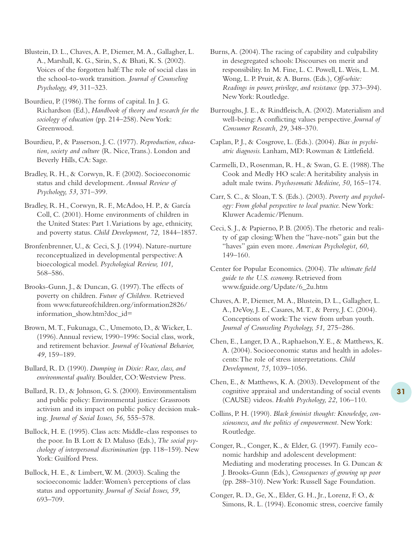Blustein, D. L., Chaves,A. P., Diemer, M.A., Gallagher, L. A., Marshall, K. G., Sirin, S., & Bhati, K. S. (2002). Voices of the forgotten half:The role of social class in the school-to-work transition. *Journal of Counseling Psychology, 49,* 311–323.

Bourdieu, P. (1986).The forms of capital. In J. G. Richardson (Ed.), *Handbook of theory and research for the sociology of education* (pp. 214–258). New York: Greenwood.

Bourdieu, P., & Passerson, J. C. (1977). *Reproduction, education, society and culture* (R. Nice,Trans.). London and Beverly Hills, CA: Sage.

Bradley, R. H., & Corwyn, R. F. (2002). Socioeconomic status and child development. *Annual Review of Psychology, 53,* 371–399.

Bradley, R. H., Corwyn, R. F., McAdoo, H. P., & García Coll, C. (2001). Home environments of children in the United States: Part 1.Variations by age, ethnicity, and poverty status. *Child Development, 72,* 1844–1857.

Bronfenbrenner, U., & Ceci, S. J. (1994). Nature-nurture reconceptualized in developmental perspective:A bioecological model. *Psychological Review, 101,* 568–586.

Brooks-Gunn, J., & Duncan, G. (1997).The effects of poverty on children. *Future of Children.* Retrieved from www.futureofchildren.org/information2826/ information\_show.htm?doc\_id=

Brown, M.T., Fukunaga, C., Umemoto, D., & Wicker, L. (1996).Annual review, 1990–1996: Social class, work, and retirement behavior. *Journal of Vocational Behavior, 49,* 159–189.

Bullard, R. D. (1990). *Dumping in Dixie: Race, class, and environmental quality.* Boulder, CO:Westview Press.

Bullard, R. D., & Johnson, G. S. (2000). Environmentalism and public policy: Environmental justice: Grassroots activism and its impact on public policy decision making. *Journal of Social Issues, 56,* 555–578.

Bullock, H. E. (1995). Class acts: Middle-class responses to the poor. In B. Lott & D. Maluso (Eds.), *The social psychology of interpersonal discrimination* (pp. 118–159). New York: Guilford Press.

Bullock, H. E., & Limbert,W. M. (2003). Scaling the socioeconomic ladder:Women's perceptions of class status and opportunity. *Journal of Social Issues, 59,* 693–709.

Burns,A. (2004).The racing of capability and culpability in desegregated schools: Discourses on merit and responsibility. In M. Fine, L. C. Powell, L.Weis, L. M. Wong, L. P. Pruit, & A. Burns. (Eds.), *Off-white: Readings in power, privilege, and resistance* (pp. 373–394). New York: Routledge.

Burroughs, J. E., & Rindfleisch,A. (2002). Materialism and well-being:A conflicting values perspective. *Journal of Consumer Research, 29,* 348–370.

Caplan, P. J., & Cosgrove, L. (Eds.). (2004). *Bias in psychiatric diagnosis.* Lanham, MD: Rowman & Littlefield.

Carmelli, D., Rosenman, R. H., & Swan, G. E. (1988).The Cook and Medly HO scale:A heritability analysis in adult male twins. *Psychosomatic Medicine, 50,* 165–174.

Carr, S. C., & Sloan,T. S. (Eds.). (2003). *Poverty and psychology: From global perspective to local practice.* New York: Kluwer Academic/Plenum.

Ceci, S. J., & Papierno, P. B. (2005).The rhetoric and reality of gap closing:When the "have-nots" gain but the "haves" gain even more. *American Psychologist, 60,* 149–160.

Center for Popular Economics. (2004). *The ultimate field guide to the U.S. economy.* Retrieved from www.fguide.org/Update/6\_2u.htm

Chaves,A. P., Diemer, M.A., Blustein, D. L., Gallagher, L. A., DeVoy, J. E., Casares, M.T., & Perry, J. C. (2004). Conceptions of work:The view from urban youth. *Journal of Counseling Psychology, 51,* 275–286.

Chen, E., Langer, D.A., Raphaelson,Y. E., & Matthews, K. A. (2004). Socioeconomic status and health in adolescents:The role of stress interpretations. *Child Development, 75,* 1039–1056.

Chen, E., & Matthews, K.A. (2003). Development of the cognitive appraisal and understanding of social events (CAUSE) videos. *Health Psychology, 22,* 106–110.

Collins, P. H. (1990). *Black feminist thought: Knowledge, consciousness, and the politics of empowerment.* New York: Routledge.

Conger, R., Conger, K., & Elder, G. (1997). Family economic hardship and adolescent development: Mediating and moderating processes. In G. Duncan & J. Brooks-Gunn (Eds.), *Consequences of growing up poor* (pp. 288–310). New York: Russell Sage Foundation.

Conger, R. D., Ge, X., Elder, G. H., Jr., Lorenz, F. O., & Simons, R. L. (1994). Economic stress, coercive family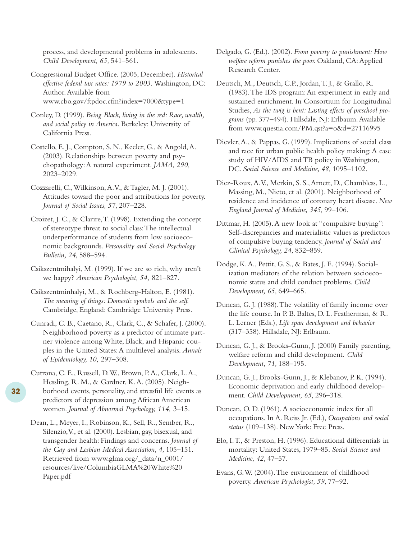process, and developmental problems in adolescents. *Child Development, 65,* 541–561.

Congressional Budget Office. (2005, December). *Historical effective federal tax rates: 1979 to 2003.* Washington, DC: Author.Available from www.cbo.gov/ftpdoc.cfm?index=7000&type=1

Conley, D. (1999). *Being Black, living in the red: Race, wealth, and social policy in America.* Berkeley: University of California Press.

Costello, E. J., Compton, S. N., Keeler, G., & Angold,A. (2003). Relationships between poverty and psychopathology:A natural experiment. *JAMA, 290,* 2023–2029.

Cozzarelli, C.,Wilkinson,A.V., & Tagler, M. J. (2001). Attitudes toward the poor and attributions for poverty. *Journal of Social Issues, 57,* 207–228.

Croizet, J. C., & Clarire,T. (1998). Extending the concept of stereotype threat to social class:The intellectual underperformance of students from low socioeconomic backgrounds. *Personality and Social Psychology Bulletin, 24,* 588–594.

Csikszentmihalyi, M. (1999). If we are so rich, why aren't we happy? *American Psychologist, 54,* 821–827.

Csikszentminhalyi, M., & Rochberg-Halton, E. (1981). *The meaning of things: Domestic symbols and the self.* Cambridge, England: Cambridge University Press.

Cunradi, C. B., Caetano, R., Clark, C., & Schafer, J. (2000). Neighborhood poverty as a predictor of intimate partner violence among White, Black, and Hispanic couples in the United States:A multilevel analysis. *Annals of Epidemiology, 10,* 297–308.

Cutrona, C. E., Russell, D.W., Brown, P.A., Clark, L.A., Hessling, R. M., & Gardner, K.A. (2005). Neighborhood events, personality, and stressful life events as predictors of depression among African American women. *Journal of Abnormal Psychology, 114,* 3–15.

Dean, L., Meyer, I., Robinson, K., Sell, R., Sember, R., Silenzio,V., et al. (2000). Lesbian, gay, bisexual, and transgender health: Findings and concerns. *Journal of the Gay and Lesbian Medical Association, 4,* 105–151. Retrieved from www.glma.org/\_data/n\_0001/ resources/live/ColumbiaGLMA%20White%20 Paper.pdf

Delgado, G. (Ed.). (2002). *From poverty to punishment: How welfare reform punishes the poor.* Oakland, CA:Applied Research Center.

Deutsch, M., Deutsch, C.P., Jordan,T. J., & Grallo, R. (1983).The IDS program:An experiment in early and sustained enrichment. In Consortium for Longitudinal Studies, *As the twig is bent: Lasting effects of preschool programs* (pp. 377–494). Hillsdale, NJ: Erlbaum.Available from www.questia.com/PM.qst?a=o&d=27116995

Dievler,A., & Pappas, G. (1999). Implications of social class and race for urban public health policy making:A case study of HIV/AIDS and TB policy in Washington, DC. *Social Science and Medicine, 48,* 1095–1102.

Diez-Roux,A.V., Merkin, S. S.,Arnett, D., Chambless, L., Massing, M., Nieto, et al. (2001). Neighborhood of residence and incidence of coronary heart disease. *New England Journal of Medicine, 345,* 99–106.

Dittmar, H. (2005). A new look at "compulsive buying": Self-discrepancies and materialistic values as predictors of compulsive buying tendency. *Journal of Social and Clinical Psychology, 24,* 832–859.

Dodge, K.A., Pettit, G. S., & Bates, J. E. (1994). Socialization mediators of the relation between socioeconomic status and child conduct problems. *Child Development, 65,* 649–665.

Duncan, G. J. (1988).The volatility of family income over the life course. In P. B. Baltes, D. L. Featherman, & R. L. Lerner (Eds.), *Life span development and behavior* (317–358). Hillsdale, NJ: Erlbaum.

Duncan, G. J., & Brooks-Gunn, J. (2000) Family parenting, welfare reform and child development. *Child Development, 71,* 188–195.

Duncan, G. J., Brooks-Gunn, J., & Klebanov, P. K. (1994). Economic deprivation and early childhood development. *Child Development, 65,* 296–318.

Duncan, O. D. (1961).A socioeconomic index for all occupations. In A. Reiss Jr. (Ed.), *Occupations and social status* (109–138). New York: Free Press.

Elo, I.T., & Preston, H. (1996). Educational differentials in mortality: United States, 1979–85. *Social Science and Medicine, 42,* 47–57.

Evans, G.W. (2004).The environment of childhood poverty. *American Psychologist, 59,* 77–92.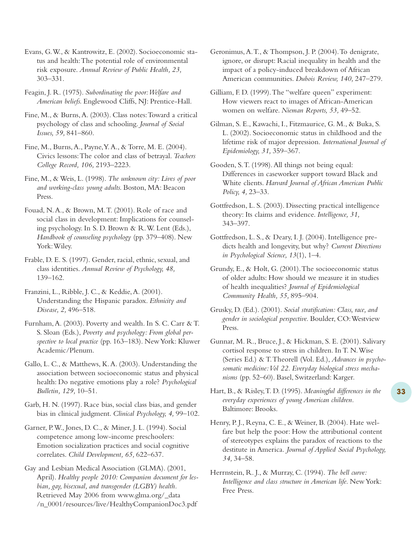Evans, G.W., & Kantrowitz, E. (2002). Socioeconomic status and health:The potential role of environmental risk exposure. *Annual Review of Public Health, 23,* 303–331.

Feagin, J. R. (1975). *Subordinating the poor:Welfare and American beliefs.* Englewood Cliffs, NJ: Prentice-Hall.

Fine, M., & Burns,A. (2003). Class notes:Toward a critical psychology of class and schooling. *Journal of Social Issues, 59,* 841–860.

Fine, M., Burns,A., Payne,Y.A., & Torre, M. E. (2004). Civics lessons:The color and class of betrayal. *Teachers College Record, 106,* 2193–2223.

Fine, M., & Weis, L. (1998). *The unknown city: Lives of poor and working-class young adults.* Boston, MA: Beacon Press.

Fouad, N.A., & Brown, M.T. (2001). Role of race and social class in development: Implications for counseling psychology. In S. D. Brown & R.W. Lent (Eds.), *Handbook of counseling psychology* (pp. 379–408). New York:Wiley.

Frable, D. E. S. (1997). Gender, racial, ethnic, sexual, and class identities. *Annual Review of Psychology, 48,* 139–162.

Franzini, L., Ribble, J. C., & Keddie,A. (2001). Understanding the Hispanic paradox. *Ethnicity and Disease, 2,* 496–518.

Furnham,A. (2003). Poverty and wealth. In S. C. Carr & T. S. Sloan (Eds.), *Poverty and psychology: From global perspective to local practice* (pp. 163–183). New York: Kluwer Academic/Plenum.

Gallo, L. C., & Matthews, K.A. (2003). Understanding the association between socioeconomic status and physical health: Do negative emotions play a role? *Psychological Bulletin, 129,* 10–51.

Garb, H. N. (1997). Race bias, social class bias, and gender bias in clinical judgment. *Clinical Psychology, 4,* 99–102.

Garner, P.W., Jones, D. C., & Miner, J. L. (1994). Social competence among low-income preschoolers: Emotion socialization practices and social cognitive correlates. *Child Development, 65,* 622–637.

Gay and Lesbian Medical Association (GLMA). (2001, April). *Healthy people 2010: Companion document for lesbian, gay, bisexual, and transgender (LGBY) health.* Retrieved May 2006 from www.glma.org/\_data /n\_0001/resources/live/HealthyCompanionDoc3.pdf Geronimus,A.T., & Thompson, J. P. (2004).To denigrate, ignore, or disrupt: Racial inequality in health and the impact of a policy-induced breakdown of African American communities. *Dubois Review, 140,* 247–279.

Gilliam, F. D. (1999).The "welfare queen" experiment: How viewers react to images of African-American women on welfare. *Nieman Reports, 53,* 49–52.

Gilman, S. E., Kawachi, I., Fitzmaurice, G. M., & Buka, S. L. (2002). Socioeconomic status in childhood and the lifetime risk of major depression. *International Journal of Epidemiology, 31,* 359–367.

Gooden, S.T. (1998).All things not being equal: Differences in caseworker support toward Black and White clients. *Harvard Journal of African American Public Policy, 4,* 23–33.

Gottfredson, L. S. (2003). Dissecting practical intelligence theory: Its claims and evidence. *Intelligence, 31,* 343–397.

Gottfredson, L. S., & Deary, I. J. (2004). Intelligence predicts health and longevity, but why? *Current Directions in Psychological Science, 13*(1), 1–4.

Grundy, E., & Holt, G. (2001).The socioeconomic status of older adults: How should we measure it in studies of health inequalities? *Journal of Epidemiological Community Health, 55,* 895–904.

Grusky, D. (Ed.). (2001). *Social stratification: Class, race, and gender in sociological perspective.* Boulder, CO:Westview Press.

- Gunnar, M. R., Bruce, J., & Hickman, S. E. (2001). Salivary cortisol response to stress in children. In T. N.Wise (Series Ed.) & T.Theorell (Vol. Ed.), *Advances in psycho*somatic medicine: Vol 22. Everyday biological stress mecha*nisms* (pp. 52–60). Basel, Switzerland: Karger.
- Hart, B., & Risley,T. D. (1995). *Meaningful differences in the everyday experiences of young American children.* Baltimore: Brooks.
- Henry, P. J., Reyna, C. E., & Weiner, B. (2004). Hate welfare but help the poor: How the attributional content of stereotypes explains the paradox of reactions to the destitute in America. *Journal of Applied Social Psychology, 34,* 34–58.
- Herrnstein, R. J., & Murray, C. (1994). *The bell curve: Intelligence and class structure in American life.* NewYork: Free Press.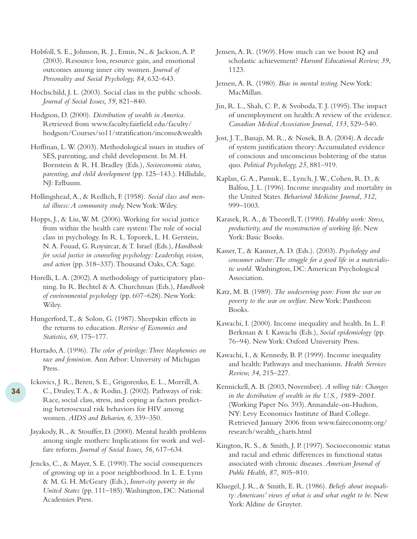Hobfoll, S. E., Johnson, R. J., Ennis, N., & Jackson,A. P. (2003). Resource loss, resource gain, and emotional outcomes among inner city women. *Journal of Personality and Social Psychology, 84,* 632–643.

Hochschild, J. L. (2003). Social class in the public schools. *Journal of Social Issues, 59,* 821–840.

Hodgson, D. (2000). *Distribution of wealth in America.* Retrieved from www.faculty.fairfield.edu/faculty/ hodgson/Courses/so11/stratification/income&wealth

Hoffman, L.W. (2003). Methodological issues in studies of SES, parenting, and child development. In M. H. Bornstein & R. H. Bradley (Eds.), *Socioeconomic status, parenting, and child development* (pp. 125–143.). Hillsdale, NJ: Erlbaum.

Hollingshead,A., & Redlich, F. (1958). *Social class and mental illness:A community study.* New York:Wiley.

Hopps, J., & Liu,W. M. (2006).Working for social justice from within the health care system:The role of social class in psychology. In R. L.Toporek, L. H. Gerstein, N.A. Fouad, G. Roysircar, & T. Israel (Eds.), *Handbook for social justice in counseling psychology: Leadership, vision, and action* (pp. 318–337).Thousand Oaks, CA: Sage.

Horelli, L.A. (2002).A methodology of participatory planning. In R. Bechtel & A. Churchman (Eds.), *Handbook of environmental psychology* (pp. 607–628). New York: Wiley.

Hungerford,T., & Solon, G. (1987). Sheepskin effects in the returns to education. *Review of Economics and Statistics, 69,* 175–177.

Hurtado,A. (1996). *The color of privilege:Three blasphemies on race and feminism.* Ann Arbor: University of Michigan Press.

Ickovics, J. R., Beren, S. E., Grigorenko, E. L., Morrill,A. C., Druley,T.A., & Rodin, J. (2002). Pathways of risk: Race, social class, stress, and coping as factors predicting heterosexual risk behaviors for HIV among women. *AIDS and Behavior, 6,* 339–350.

Jayakody, R., & Stouffer, D. (2000). Mental health problems among single mothers: Implications for work and welfare reform. *Journal of Social Issues, 56,* 617–634.

Jencks, C., & Mayer, S. E. (1990).The social consequences of growing up in a poor neighborhood. In L. E. Lynn & M. G. H. McGeary (Eds.), *Inner-city poverty in the United States* (pp. 111–185).Washington, DC: National Academies Press.

Jensen,A. R. (1969). How much can we boost IQ and scholastic achievement? *Harvard Educational Review, 39,* 1123.

Jensen,A. R. (1980). *Bias in mental testing.* New York: MacMillan.

Jin, R. L., Shah, C. P., & Svoboda,T. J. (1995).The impact of unemployment on health:A review of the evidence. *Canadian Medical Association Journal, 153,* 529–540.

Jost, J.T., Banaji, M. R., & Nosek, B.A. (2004).A decade of system justification theory:Accumulated evidence of conscious and unconscious bolstering of the status quo. *Political Psychology, 25,* 881–919.

Kaplan, G.A., Pamuk, E., Lynch, J.W., Cohen, R. D., & Balfou, J. L. (1996). Income inequality and mortality in the United States. *Behavioral Medicine Journal, 312,* 999–1003.

Karasek, R.A., & Theorell,T. (1990). *Healthy work: Stress, productivity, and the reconstruction of working life.* New York: Basic Books.

Kasser,T., & Kanner,A. D. (Eds.). (2003). *Psychology and consumer culture:The struggle for a good life in a materialistic world.* Washington, DC:American Psychological Association.

Katz, M. B. (1989). *The undeserving poor: From the war on poverty to the war on welfare.* New York: Pantheon Books.

Kawachi, I. (2000). Income inequality and health. In L. F. Berkman & I. Kawachi (Eds.), *Social epidemiology* (pp. 76–94). New York: Oxford University Press.

Kawachi, I., & Kennedy, B. P. (1999). Income inequality and health: Pathways and mechanisms. *Health Services Review, 34,* 215–227.

Kennickell,A. B. (2003, November). *A rolling tide: Changes in the distribution of wealth in the U.S., 1989–2001.* (Working Paper No. 393).Annandale-on-Hudson, NY: Levy Economics Institute of Bard College. Retrieved January 2006 from www.faireconomy.org/ research/wealth\_charts.html

Kington, R. S., & Smith, J. P. (1997). Socioeconomic status and racial and ethnic differences in functional status associated with chronic diseases. *American Journal of Public Health, 87,* 805–810.

Kluegel, J. R., & Smith, E. R. (1986). *Beliefs about inequality:Americans' views of what is and what ought to be.* New York:Aldine de Gruyter.

**34**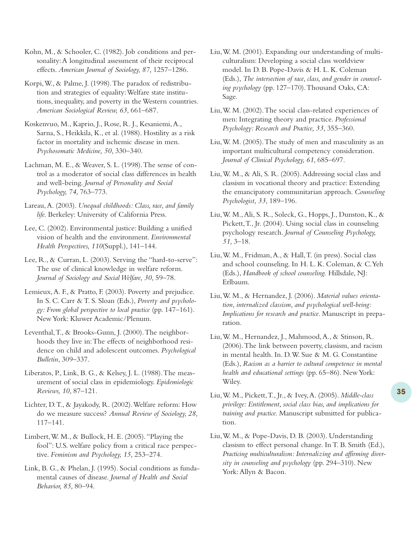Kohn, M., & Schooler, C. (1982). Job conditions and personality:A longitudinal assessment of their reciprocal effects. *American Journal of Sociology, 87,* 1257–1286.

Korpi,W., & Palme, J. (1998).The paradox of redistribution and strategies of equality:Welfare state institutions, inequality, and poverty in the Western countries. *American Sociological Review, 63,* 661–687.

Koskenvuo, M., Kaprio, J., Rose, R. J., Kesaniemi,A., Sarna, S., Heikkila, K., et al. (1988). Hostility as a risk factor in mortality and ischemic disease in men. *Psychosomatic Medicine, 50,* 330–340.

Lachman, M. E., & Weaver, S. L. (1998).The sense of control as a moderator of social class differences in health and well-being. *Journal of Personality and Social Psychology, 74,* 763–773.

Lareau,A. (2003). *Unequal childhoods: Class, race, and family life.* Berkeley: University of California Press.

Lee, C. (2002). Environmental justice: Building a unified vision of health and the environment. *Environmental Health Perspectives, 110*(Suppl.), 141–144.

Lee, R., & Curran, L. (2003). Serving the "hard-to-serve": The use of clinical knowledge in welfare reform. *Journal of Sociology and Social Welfare, 30,* 59–78.

Lemieux,A. F., & Pratto, F. (2003). Poverty and prejudice. In S. C. Carr & T. S. Sloan (Eds.), *Poverty and psychology: From global perspective to local practice* (pp. 147–161). NewYork: Kluwer Academic/Plenum.

Leventhal,T., & Brooks-Gunn, J. (2000).The neighborhoods they live in:The effects of neighborhood residence on child and adolescent outcomes. *Psychological Bulletin,* 309–337.

Liberatos, P., Link, B. G., & Kelsey, J. L. (1988).The measurement of social class in epidemiology. *Epidemiologic Reviews, 10,* 87–121.

Lichter, D.T., & Jayakody, R. (2002).Welfare reform: How do we measure success? *Annual Review of Sociology, 28,* 117–141.

Limbert,W. M., & Bullock, H. E. (2005)."Playing the fool": U.S. welfare policy from a critical race perspective. *Feminism and Psychology, 15,* 253–274.

Link, B. G., & Phelan, J. (1995). Social conditions as fundamental causes of disease. *Journal of Health and Social Behavior, 85,* 80–94.

Liu,W. M. (2001). Expanding our understanding of multiculturalism: Developing a social class worldview model. In D. B. Pope-Davis & H. L. K. Coleman (Eds.), *The intersection of race, class, and gender in counseling psychology* (pp. 127–170).Thousand Oaks, CA: Sage.

Liu,W. M. (2002).The social class-related experiences of men: Integrating theory and practice. *Professional Psychology: Research and Practice, 33,* 355–360.

Liu,W. M. (2005).The study of men and masculinity as an important multicultural competency consideration. *Journal of Clinical Psychology, 61,* 685–697.

Liu,W. M., & Ali, S. R. (2005).Addressing social class and classism in vocational theory and practice: Extending the emancipatory communitarian approach. *Counseling Psychologist, 33,* 189–196.

Liu,W. M.,Ali, S. R., Soleck, G., Hopps, J., Dunston, K., & Pickett,T., Jr. (2004). Using social class in counseling psychology research. *Journal of Counseling Psychology, 51,* 3–18.

Liu,W. M., Fridman,A., & Hall,T. (in press). Social class and school counseling. In H. L. K. Coleman, & C.Yeh (Eds.), *Handbook of school counseling.* Hillsdale, NJ: Erlbaum.

Liu,W. M., & Hernandez, J. (2006). *Material values orientation, internalized classism, and psychological well-being: Implications for research and practice.* Manuscript in preparation.

Liu,W. M., Hernandez, J., Mahmood,A., & Stinson, R. (2006).The link between poverty, classism, and racism in mental health. In. D.W. Sue & M. G. Constantine (Eds.), *Racism as a barrier to cultural competence in mental health and educational settings* (pp. 65–86). New York: Wiley.

Liu,W. M., Pickett,T., Jr., & Ivey,A. (2005). *Middle-class privilege: Entitlement, social class bias, and implications for training and practice.* Manuscript submitted for publication.

Liu,W. M., & Pope-Davis, D. B. (2003). Understanding classism to effect personal change. In T. B. Smith (Ed.), *Practicing multiculturalism: Internalizing and affirming diversity in counseling and psychology* (pp. 294–310). New York:Allyn & Bacon.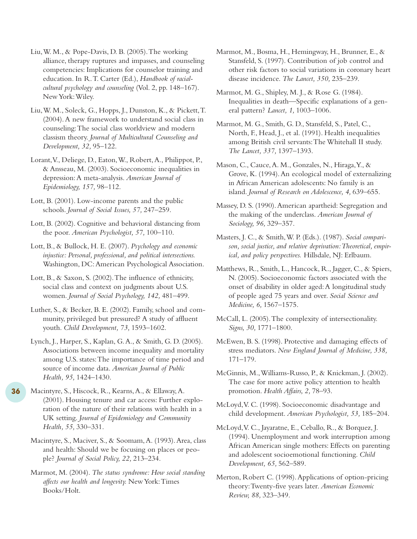Liu,W. M., & Pope-Davis, D. B. (2005).The working alliance, therapy ruptures and impasses, and counseling competencies: Implications for counselor training and education. In R.T. Carter (Ed.), *Handbook of racialcultural psychology and counseling* (Vol. 2, pp. 148–167). New York:Wiley.

Liu,W. M., Soleck, G., Hopps, J., Dunston, K., & Pickett,T. (2004).A new framework to understand social class in counseling:The social class worldview and modern classism theory. *Journal of Multicultural Counseling and Development, 32,* 95–122.

Lorant,V., Deliege, D., Eaton,W., Robert,A., Philippot, P., & Ansseau, M. (2003). Socioeconomic inequalities in depression:A meta-analysis. *American Journal of Epidemiology, 157,* 98–112.

Lott, B. (2001). Low-income parents and the public schools. *Journal of Social Issues, 57,* 247–259.

Lott, B. (2002). Cognitive and behavioral distancing from the poor. *American Psychologist, 57,* 100–110.

Lott, B., & Bullock, H. E. (2007). *Psychology and economic injustice: Personal, professional, and political intersections.* Washington, DC:American Psychological Association.

Lott, B., & Saxon, S. (2002).The influence of ethnicity, social class and context on judgments about U.S. women. *Journal of Social Psychology, 142,* 481–499.

Luther, S., & Becker, B. E. (2002). Family, school and community, privileged but pressured? A study of affluent youth. *Child Development, 73,* 1593–1602.

Lynch, J., Harper, S., Kaplan, G.A., & Smith, G. D. (2005). Associations between income inequality and mortality among U.S. states:The importance of time period and source of income data. *American Journal of Public Health, 95,* 1424–1430.

Macintyre, S., Hiscock, R., Kearns,A., & Ellaway,A. (2001). Housing tenure and car access: Further exploration of the nature of their relations with health in a UK setting. *Journal of Epidemiology and Community Health, 55,* 330–331.

**36**

Macintyre, S., Maciver, S., & Soomam,A. (1993).Area, class and health: Should we be focusing on places or people? *Journal of Social Policy, 22,* 213–234.

Marmot, M. (2004). *The status syndrome: How social standing affects our health and longevity.* NewYork:Times Books/Holt.

Marmot, M., Bosma, H., Hemingway, H., Brunner, E., & Stansfeld, S. (1997). Contribution of job control and other risk factors to social variations in coronary heart disease incidence. *The Lancet, 350,* 235–239.

Marmot, M. G., Shipley, M. J., & Rose G. (1984). Inequalities in death—Specific explanations of a general pattern? *Lancet, 1,* 1003–1006.

Marmot, M. G., Smith, G. D., Stansfeld, S., Patel, C., North, F., Head, J., et al. (1991). Health inequalities among British civil servants:The Whitehall II study. *The Lancet, 337,* 1397–1393.

Mason, C., Cauce,A. M., Gonzales, N., Hiraga,Y., & Grove, K. (1994).An ecological model of externalizing in African American adolescents: No family is an island. *Journal of Research on Adolescence, 4,* 639–655.

Massey, D. S. (1990).American apartheid: Segregation and the making of the underclass. *American Journal of Sociology, 96,* 329–357.

Masters, J. C., & Smith,W. P. (Eds.). (1987). *Social comparison, social justice, and relative deprivation:Theoretical, empirical, and policy perspectives.* Hillsdale, NJ: Erlbaum.

Matthews, R., Smith, L., Hancock, R., Jagger, C., & Spiers, N. (2005). Socioeconomic factors associated with the onset of disability in older aged:A longitudinal study of people aged 75 years and over. *Social Science and Medicine, 6,* 1567–1575.

McCall, L. (2005).The complexity of intersectionality. *Signs, 30,* 1771–1800.

McEwen, B. S. (1998). Protective and damaging effects of stress mediators. *New England Journal of Medicine, 338,* 171–179.

McGinnis, M.,Williams-Russo, P., & Knickman, J. (2002). The case for more active policy attention to health promotion. *Health Affairs, 2,* 78–93.

McLoyd,V. C. (1998). Socioeconomic disadvantage and child development. *American Psychologist, 53,* 185–204.

McLoyd,V. C., Jayaratne, E., Ceballo, R., & Borquez, J. (1994). Unemployment and work interruption among African American single mothers: Effects on parenting and adolescent socioemotional functioning. *Child Development, 65,* 562–589.

Merton, Robert C. (1998).Applications of option-pricing theory:Twenty-five years later. *American Economic Review, 88,* 323–349.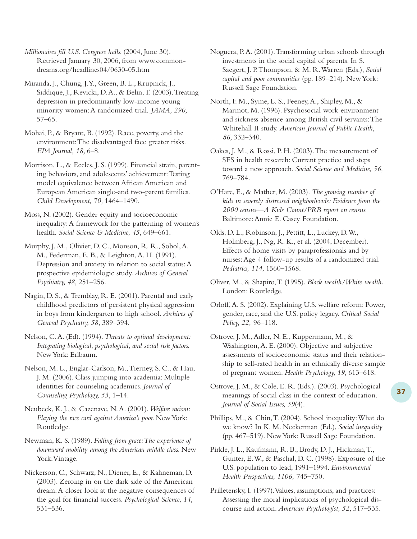*Millionaires fill U.S. Congress halls.* (2004, June 30). Retrieved January 30, 2006, from www.commondreams.org/headlines04/0630-05.htm

Miranda, J., Chung, J.Y., Green, B. L., Krupnick, J., Siddique, J., Revicki, D.A., & Belin,T. (2003).Treating depression in predominantly low-income young minority women:A randomized trial. *JAMA, 290,* 57–65.

Mohai, P., & Bryant, B. (1992). Race, poverty, and the environment:The disadvantaged face greater risks. *EPA Journal, 18,* 6–8.

Morrison, L., & Eccles, J. S. (1999). Financial strain, parenting behaviors, and adolescents' achievement:Testing model equivalence between African American and European American single-and two-parent families. *Child Development, 70,* 1464–1490.

Moss, N. (2002). Gender equity and socioeconomic inequality:A framework for the patterning of women's health. *Social Science & Medicine, 45,* 649–661.

Murphy, J. M., Olivier, D. C., Monson, R. R., Sobol,A. M., Federman, E. B., & Leighton,A. H. (1991). Depression and anxiety in relation to social status:A prospective epidemiologic study. *Archives of General Psychiatry, 48,* 251–256.

Nagin, D. S., & Tremblay, R. E. (2001). Parental and early childhood predictors of persistent physical aggression in boys from kindergarten to high school. *Archives of General Psychiatry, 58,* 389–394.

Nelson, C.A. (Ed). (1994).*Threats to optimal development: Integrating biological, psychological, and social risk factors.* New York: Erlbaum.

Nelson, M. L., Englar-Carlson, M.,Tierney, S. C., & Hau, J. M. (2006). Class jumping into academia: Multiple identities for counseling academics. *Journal of Counseling Psychology, 53,* 1–14.

Neubeck, K. J., & Cazenave, N.A. (2001).*Welfare racism: Playing the race card against America's poor.* New York: Routledge.

Newman, K. S. (1989). *Falling from grace:The experience of downward mobility among the American middle class.* New York:Vintage.

Nickerson, C., Schwarz, N., Diener, E., & Kahneman, D. (2003). Zeroing in on the dark side of the American dream:A closer look at the negative consequences of the goal for financial success. *Psychological Science, 14,* 531–536.

Noguera, P.A. (2001).Transforming urban schools through investments in the social capital of parents. In S. Saegert, J. P.Thompson, & M. R.Warren (Eds.), *Social capital and poor communities* (pp. 189–214). New York: Russell Sage Foundation.

North, F. M., Syme, L. S., Feeney,A., Shipley, M., & Marmot, M. (1996). Psychosocial work environment and sickness absence among British civil servants:The Whitehall II study. *American Journal of Public Health, 86,* 332–340.

Oakes, J. M., & Rossi, P. H. (2003).The measurement of SES in health research: Current practice and steps toward a new approach. *Social Science and Medicine, 56,* 769–784.

O'Hare, E., & Mather, M. (2003). *The growing number of kids in severely distressed neighborhoods: Evidence from the 2000 census—A Kids Count/PRB report on census.* Baltimore:Annie E. Casey Foundation.

Olds, D. L., Robinson, J., Pettitt, L., Luckey, D.W., Holmberg, J., Ng, R. K., et al. (2004, December). Effects of home visits by paraprofessionals and by nurses:Age 4 follow-up results of a randomized trial. *Pediatrics, 114,* 1560–1568.

Orloff,A. S. (2002). Explaining U.S. welfare reform: Power, gender, race, and the U.S. policy legacy. *Critical Social Policy, 22,* 96–118.

Ostrove, J. M., Adler, N. E., Kuppermann, M., & Washington,A. E. (2000). Objective and subjective assessments of socioeconomic status and their relationship to self-rated health in an ethnically diverse sample of pregnant women. *Health Psychology, 19,* 613–618.

Ostrove, J. M., & Cole, E. R. (Eds.). (2003). Psychological meanings of social class in the context of education. *Journal of Social Issues, 59*(4).

Phillips, M., & Chin,T. (2004). School inequality:What do we know? In K. M. Neckerman (Ed.), *Social inequality* (pp. 467–519). New York: Russell Sage Foundation.

Pirkle, J. L., Kaufmann, R. B., Brody, D. J., Hickman,T., Gunter, E.W., & Paschal, D. C. (1998). Exposure of the U.S. population to lead, 1991–1994. *Environmental Health Perspectives, 1106,* 745–750.

Prilletensky, I. (1997).Values, assumptions, and practices: Assessing the moral implications of psychological discourse and action. *American Psychologist, 52,* 517–535.

Oliver, M., & Shapiro,T. (1995). *Black wealth/White wealth.* London: Routledge.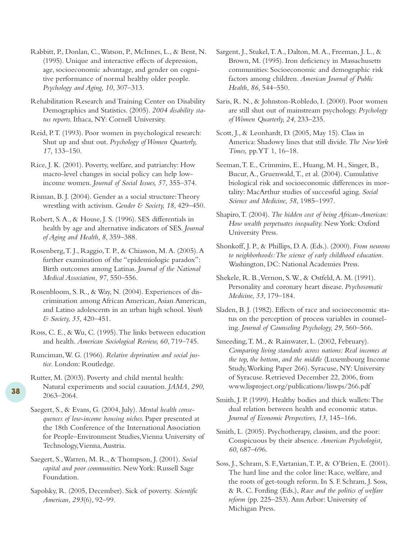Rabbitt, P., Donlan, C.,Watson, P., McInnes, L., & Bent, N. (1995). Unique and interactive effects of depression, age, socioeconomic advantage, and gender on cognitive performance of normal healthy older people. *Psychology and Aging, 10,* 307–313.

Rehabilitation Research and Training Center on Disability Demographics and Statistics. (2005). *2004 disability status reports.* Ithaca, NY: Cornell University.

Reid, P.T. (1993). Poor women in psychological research: Shut up and shut out. *Psychology of Women Quarterly, 17,* 133–150.

Rice, J. K. (2001). Poverty, welfare, and patriarchy: How macro-level changes in social policy can help lowincome women. *Journal of Social Issues, 57,* 355–374.

Risman, B. J. (2004). Gender as a social structure:Theory wrestling with activism. *Gender & Society, 18,* 429–450.

Robert, S.A., & House, J. S. (1996). SES differentials in health by age and alternative indicators of SES. *Journal of Aging and Health, 8,* 359–388.

Rosenberg,T. J., Raggio,T. P., & Chiasson, M.A. (2005).A further examination of the "epidemiologic paradox": Birth outcomes among Latinas. *Journal of the National Medical Association, 97,* 550–556.

Rosenbloom, S. R., & Way, N. (2004). Experiences of discrimination among African American,Asian American, and Latino adolescents in an urban high school. *Youth & Society, 35,* 420–451.

Ross, C. E., & Wu, C. (1995).The links between education and health. *American Sociological Review, 60,* 719–745.

Runciman,W. G. (1966). *Relative deprivation and social justice.* London: Routledge.

Rutter, M. (2003). Poverty and child mental health: Natural experiments and social causation. *JAMA, 290,* 2063–2064.

**38**

Saegert, S., & Evans, G. (2004, July). *Mental health consequences of low-income housing niches.* Paper presented at the 18th Conference of the International Association for People–Environment Studies,Vienna University of Technology, Vienna, Austria.

Saegert, S.,Warren, M. R., & Thompson, J. (2001). *Social capital and poor communities.* New York: Russell Sage Foundation.

Sapolsky, R. (2005, December). Sick of poverty. *Scientific American, 293*(6), 92–99.

Sargent, J., Stukel,T.A., Dalton, M.A., Freeman, J. L., & Brown, M. (1995). Iron deficiency in Massachusetts communities: Socioeconomic and demographic risk factors among children. *American Journal of Public Health, 86,* 544–550.

Saris, R. N., & Johnston-Robledo, I. (2000). Poor women are still shut out of mainstream psychology. *Psychology of Women Quarterly, 24,* 233–235.

Scott, J., & Leonhardt, D. (2005, May 15). Class in America: Shadowy lines that still divide.*The New York Times,* pp.YT 1, 16–18.

Seeman,T. E., Crimmins, E., Huang, M. H., Singer, B., Bucur,A., Gruenwald,T., et al. (2004). Cumulative biological risk and socioeconomic differences in mortality: MacArthur studies of successful aging. *Social Science and Medicine, 58,* 1985–1997.

Shapiro,T. (2004). *The hidden cost of being African-American: How wealth perpetuates inequality.* NewYork: Oxford University Press.

Shonkoff, J. P., & Phillips, D.A. (Eds.). (2000). *From neurons to neighborhoods:The science of early childhood education.* Washington, DC: National Academies Press.

Shekele, R. B.,Vernon, S.W., & Ostfeld,A. M. (1991). Personality and coronary heart disease. *Psychosomatic Medicine, 53,* 179–184.

Sladen, B. J. (1982). Effects of race and socioeconomic status on the perception of process variables in counseling. *Journal of Counseling Psychology, 29,* 560–566.

Smeeding,T. M., & Rainwater, L. (2002, February). *Comparing living standards across nations: Real incomes at the top, the bottom, and the middle* (Luxembourg Income Study,Working Paper 266). Syracuse, NY: University of Syracuse. Retrieved December 22, 2006, from www.lisproject.org/publications/liswps/266.pdf

Smith, J. P. (1999). Healthy bodies and thick wallets:The dual relation between health and economic status. *Journal of Economic Perspectives, 13,* 145–166.

Smith, L. (2005). Psychotherapy, classism, and the poor: Conspicuous by their absence. *American Psychologist, 60,* 687–696.

Soss, J., Schram, S. F.,Vartanian,T. P., & O'Brien, E. (2001). The hard line and the color line: Race, welfare, and the roots of get-tough reform. In S. F. Schram, J. Soss, & R. C. Fording (Eds.), *Race and the politics of welfare reform* (pp. 225–253).Ann Arbor: University of Michigan Press.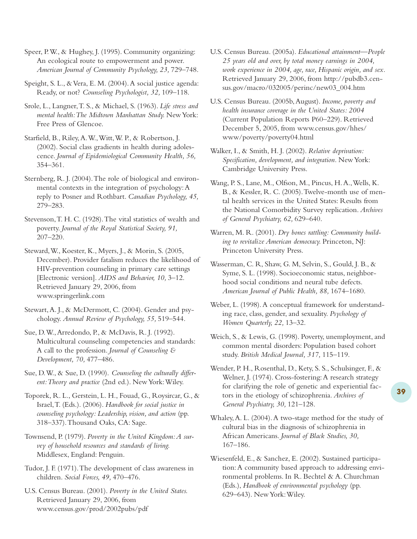Speer, P.W., & Hughey, J. (1995). Community organizing: An ecological route to empowerment and power. *American Journal of Community Psychology, 23,* 729–748.

Speight, S. L., & Vera, E. M. (2004). A social justice agenda: Ready, or not? *Counseling Psychologist, 32,* 109–118.

Srole, L., Langner,T. S., & Michael, S. (1963). *Life stress and mental health:The Midtown Manhattan Study.* New York: Free Press of Glencoe.

Starfield, B., Riley,A.W.,Witt,W. P., & Robertson, J. (2002). Social class gradients in health during adolescence. *Journal of Epidemiological Community Health, 56,* 354–361.

Sternberg, R. J. (2004).The role of biological and environmental contexts in the integration of psychology:A reply to Posner and Rothbart. *Canadian Psychology, 45,* 279–283.

Stevenson,T. H. C. (1928).The vital statistics of wealth and poverty. *Journal of the Royal Statistical Society, 91,* 207–220.

Steward,W., Koester, K., Myers, J., & Morin, S. (2005, December). Provider fatalism reduces the likelihood of HIV-prevention counseling in primary care settings [Electronic version]. *AIDS and Behavior, 10,* 3–12. Retrieved January 29, 2006, from www.springerlink.com

Stewart, A. J., & McDermott, C. (2004). Gender and psychology. *Annual Review of Psychology, 55,* 519–544.

Sue, D.W.,Arredondo, P., & McDavis, R. J. (1992). Multicultural counseling competencies and standards: A call to the profession. *Journal of Counseling & Development, 70,* 477–486.

Sue, D.W., & Sue, D. (1990). *Counseling the culturally different:Theory and practice* (2nd ed.). New York:Wiley.

Toporek, R. L., Gerstein, L. H., Fouad, G., Roysircar, G., & Israel,T. (Eds.). (2006). *Handbook for social justice in counseling psychology: Leadership, vision, and action* (pp. 318–337).Thousand Oaks, CA: Sage.

Townsend, P. (1979). *Poverty in the United Kingdom:A survey of household resources and standards of living.* Middlesex, England: Penguin.

Tudor, J. F. (1971).The development of class awareness in children. *Social Forces, 49,* 470–476.

U.S. Census Bureau. (2001). *Poverty in the United States.* Retrieved January 29, 2006, from www.census.gov/prod/2002pubs/pdf

U.S. Census Bureau. (2005a). *Educational attainment—People 25 years old and over, by total money earnings in 2004, work experience in 2004, age, race, Hispanic origin, and sex.* Retrieved January 29, 2006, from http://pubdb3.census.gov/macro/032005/perinc/new03\_004.htm

U.S. Census Bureau. (2005b,August). *Income, poverty and health insurance coverage in the United States: 2004* (Current Population Reports P60–229). Retrieved December 5, 2005, from www.census.gov/hhes/ www/poverty/poverty04.html

Walker, I., & Smith, H. J. (2002). *Relative deprivation: Specification, development, and integration.* New York: Cambridge University Press.

Wang, P. S., Lane, M., Olfson, M., Pincus, H.A.,Wells, K. B., & Kessler, R. C. (2005).Twelve-month use of mental health services in the United States: Results from the National Comorbidity Survey replication. *Archives of General Psychiatry, 62,* 629–640.

Warren, M. R. (2001). *Dry bones rattling: Community building to revitalize American democracy.* Princeton, NJ: Princeton University Press.

Wasserman, C. R, Shaw, G. M, Selvin, S., Gould, J. B., & Syme, S. L. (1998). Socioeconomic status, neighborhood social conditions and neural tube defects. *American Journal of Public Health, 88,* 1674–1680.

Weber, L. (1998). A conceptual framework for understanding race, class, gender, and sexuality. *Psychology of Women Quarterly, 22,* 13–32.

Weich, S., & Lewis, G. (1998). Poverty, unemployment, and common mental disorders: Population based cohort study. *British Medical Journal, 317,* 115–119.

Wender, P. H., Rosenthal, D., Kety, S. S., Schulsinger, F., & Welner, J. (1974). Cross-fostering: A research strategy for clarifying the role of genetic and experiential factors in the etiology of schizophrenia. *Archives of General Psychiatry, 30,* 121–128.

Whaley,A. L. (2004).A two-stage method for the study of cultural bias in the diagnosis of schizophrenia in African Americans. *Journal of Black Studies, 30,* 167–186.

Wiesenfeld, E., & Sanchez, E. (2002). Sustained participation:A community based approach to addressing environmental problems. In R. Bechtel & A. Churchman (Eds.), *Handbook of environmental psychology* (pp. 629–643). New York:Wiley.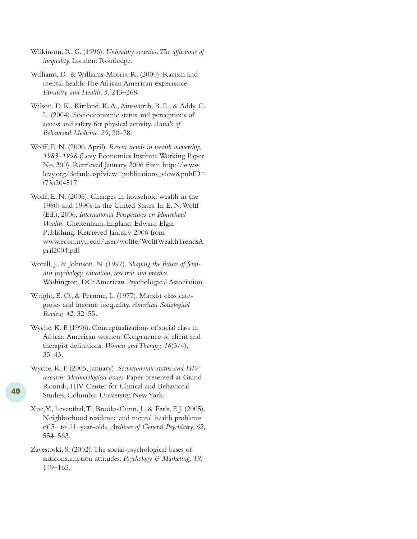- Wilkinson, R. G. (1996). *Unhealthy societies:The afflictions of inequality.* London: Routledge.
- Williams, D., & Williams-Morris, R. (2000). Racism and mental health:The African American experience. *Ethnicity and Health, 5,* 243–268.
- Wilson, D. K., Kirtland, K.A.,Ainsworth, B. E., & Addy, C. L. (2004). Socioeconomic status and perceptions of access and safety for physical activity. *Annals of Behavioral Medicine, 29,* 20–28.
- Wolff, E. N. (2000,April). *Recent trends in wealth ownership, 1983–1998* (Levy Economics Institute Working Paper No. 300). Retrieved January 2006 from http://www. levy.org/default.asp?view=publications\_view&pubID= f73a204517
- Wolff, E. N. (2006). Changes in household wealth in the 1980s and 1990s in the United States. In E. N.Wolff (Ed.), 2006, *International Perspectives on Household Wealth.* Cheltenham, England: Edward Elgar Publishing. Retrieved January 2006 from www.econ.nyu.edu/user/wolffe/WolffWealthTrendsA pril2004.pdf
- Worell, J., & Johnson, N. (1997). *Shaping the future of feminist psychology, education, research and practice.* Washington, DC:American Psychological Association.
- Wright, E. O., & Perrone, L. (1977). Marxist class categories and income inequality. *American Sociological Review, 42,* 32–55.
- Wyche, K. F. (1996). Conceptualizations of social class in African American women. Congruence of client and therapist definitions. *Women and Therapy, 16*(3/4), 35–43.
- Wyche, K. F. (2005, January). *Socioeconomic status and HIV research: Methodological issues.* Paper presented at Grand Rounds, HIV Center for Clinical and Behavioral Studies, Columbia University, New York.

**40**

- Xue,Y., Leventhal,T., Brooks-Gunn, J., & Earls, F. J. (2005). Neighborhood residence and mental health problems of 5– to 11–year-olds. *Archives of General Psychiatry, 62,* 554–563.
- Zavestoski, S. (2002).The social-psychological bases of anticonsumption attitudes. *Psychology & Marketing, 19,* 149–165.